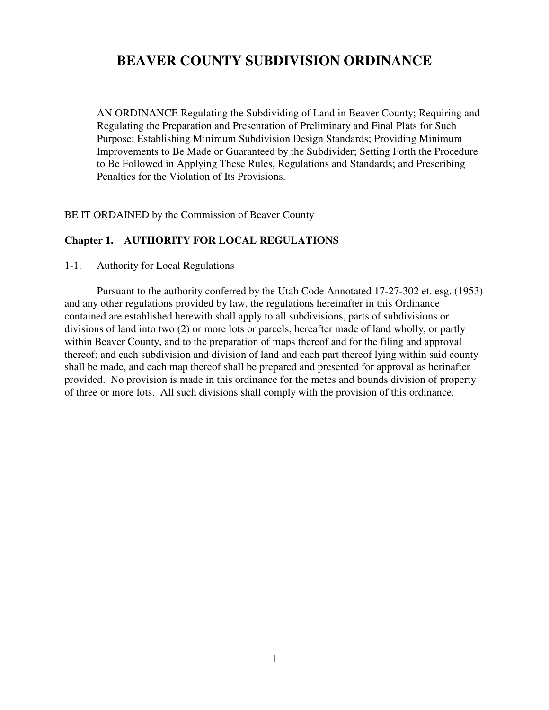AN ORDINANCE Regulating the Subdividing of Land in Beaver County; Requiring and Regulating the Preparation and Presentation of Preliminary and Final Plats for Such Purpose; Establishing Minimum Subdivision Design Standards; Providing Minimum Improvements to Be Made or Guaranteed by the Subdivider; Setting Forth the Procedure to Be Followed in Applying These Rules, Regulations and Standards; and Prescribing Penalties for the Violation of Its Provisions.

BE IT ORDAINED by the Commission of Beaver County

# **Chapter 1. AUTHORITY FOR LOCAL REGULATIONS**

1-1. Authority for Local Regulations

 $\overline{a}$ 

Pursuant to the authority conferred by the Utah Code Annotated 17-27-302 et. esg. (1953) and any other regulations provided by law, the regulations hereinafter in this Ordinance contained are established herewith shall apply to all subdivisions, parts of subdivisions or divisions of land into two (2) or more lots or parcels, hereafter made of land wholly, or partly within Beaver County, and to the preparation of maps thereof and for the filing and approval thereof; and each subdivision and division of land and each part thereof lying within said county shall be made, and each map thereof shall be prepared and presented for approval as herinafter provided. No provision is made in this ordinance for the metes and bounds division of property of three or more lots. All such divisions shall comply with the provision of this ordinance.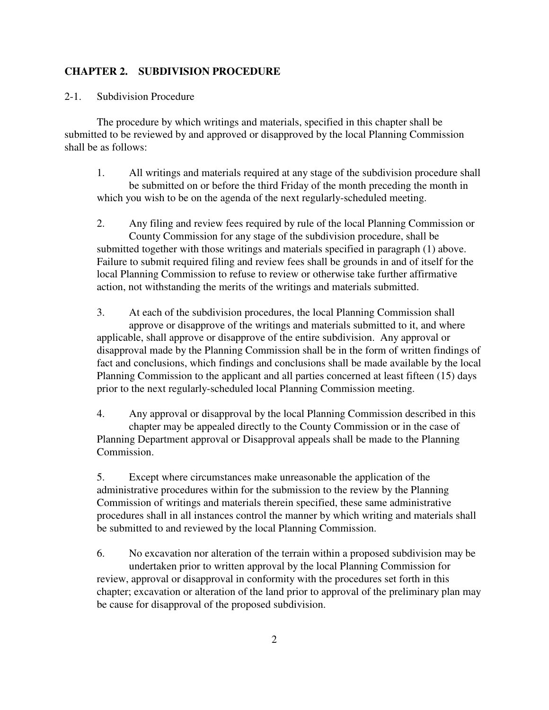### **CHAPTER 2. SUBDIVISION PROCEDURE**

2-1. Subdivision Procedure

The procedure by which writings and materials, specified in this chapter shall be submitted to be reviewed by and approved or disapproved by the local Planning Commission shall be as follows:

1. All writings and materials required at any stage of the subdivision procedure shall be submitted on or before the third Friday of the month preceding the month in which you wish to be on the agenda of the next regularly-scheduled meeting.

2. Any filing and review fees required by rule of the local Planning Commission or County Commission for any stage of the subdivision procedure, shall be submitted together with those writings and materials specified in paragraph (1) above. Failure to submit required filing and review fees shall be grounds in and of itself for the local Planning Commission to refuse to review or otherwise take further affirmative action, not withstanding the merits of the writings and materials submitted.

3. At each of the subdivision procedures, the local Planning Commission shall approve or disapprove of the writings and materials submitted to it, and where applicable, shall approve or disapprove of the entire subdivision. Any approval or disapproval made by the Planning Commission shall be in the form of written findings of fact and conclusions, which findings and conclusions shall be made available by the local Planning Commission to the applicant and all parties concerned at least fifteen (15) days prior to the next regularly-scheduled local Planning Commission meeting.

4. Any approval or disapproval by the local Planning Commission described in this chapter may be appealed directly to the County Commission or in the case of Planning Department approval or Disapproval appeals shall be made to the Planning Commission.

5. Except where circumstances make unreasonable the application of the administrative procedures within for the submission to the review by the Planning Commission of writings and materials therein specified, these same administrative procedures shall in all instances control the manner by which writing and materials shall be submitted to and reviewed by the local Planning Commission.

6. No excavation nor alteration of the terrain within a proposed subdivision may be undertaken prior to written approval by the local Planning Commission for review, approval or disapproval in conformity with the procedures set forth in this chapter; excavation or alteration of the land prior to approval of the preliminary plan may be cause for disapproval of the proposed subdivision.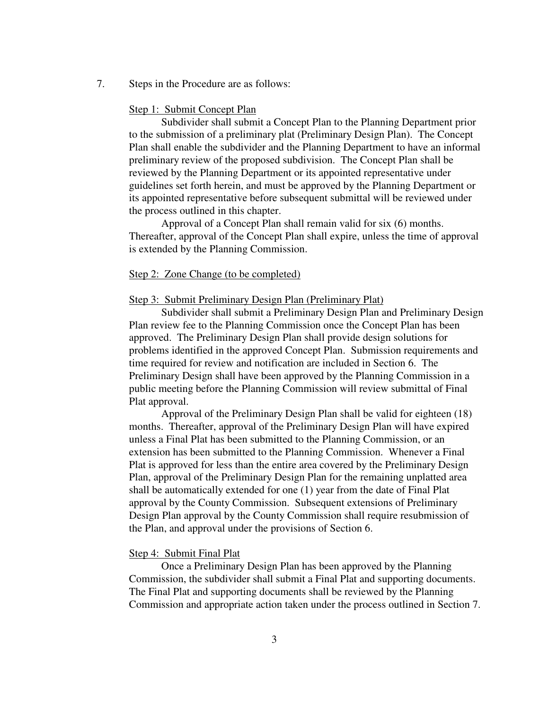7. Steps in the Procedure are as follows:

#### Step 1: Submit Concept Plan

Subdivider shall submit a Concept Plan to the Planning Department prior to the submission of a preliminary plat (Preliminary Design Plan). The Concept Plan shall enable the subdivider and the Planning Department to have an informal preliminary review of the proposed subdivision. The Concept Plan shall be reviewed by the Planning Department or its appointed representative under guidelines set forth herein, and must be approved by the Planning Department or its appointed representative before subsequent submittal will be reviewed under the process outlined in this chapter.

Approval of a Concept Plan shall remain valid for six (6) months. Thereafter, approval of the Concept Plan shall expire, unless the time of approval is extended by the Planning Commission.

#### Step 2: Zone Change (to be completed)

#### Step 3: Submit Preliminary Design Plan (Preliminary Plat)

Subdivider shall submit a Preliminary Design Plan and Preliminary Design Plan review fee to the Planning Commission once the Concept Plan has been approved. The Preliminary Design Plan shall provide design solutions for problems identified in the approved Concept Plan. Submission requirements and time required for review and notification are included in Section 6. The Preliminary Design shall have been approved by the Planning Commission in a public meeting before the Planning Commission will review submittal of Final Plat approval.

Approval of the Preliminary Design Plan shall be valid for eighteen (18) months. Thereafter, approval of the Preliminary Design Plan will have expired unless a Final Plat has been submitted to the Planning Commission, or an extension has been submitted to the Planning Commission. Whenever a Final Plat is approved for less than the entire area covered by the Preliminary Design Plan, approval of the Preliminary Design Plan for the remaining unplatted area shall be automatically extended for one (1) year from the date of Final Plat approval by the County Commission. Subsequent extensions of Preliminary Design Plan approval by the County Commission shall require resubmission of the Plan, and approval under the provisions of Section 6.

#### Step 4: Submit Final Plat

Once a Preliminary Design Plan has been approved by the Planning Commission, the subdivider shall submit a Final Plat and supporting documents. The Final Plat and supporting documents shall be reviewed by the Planning Commission and appropriate action taken under the process outlined in Section 7.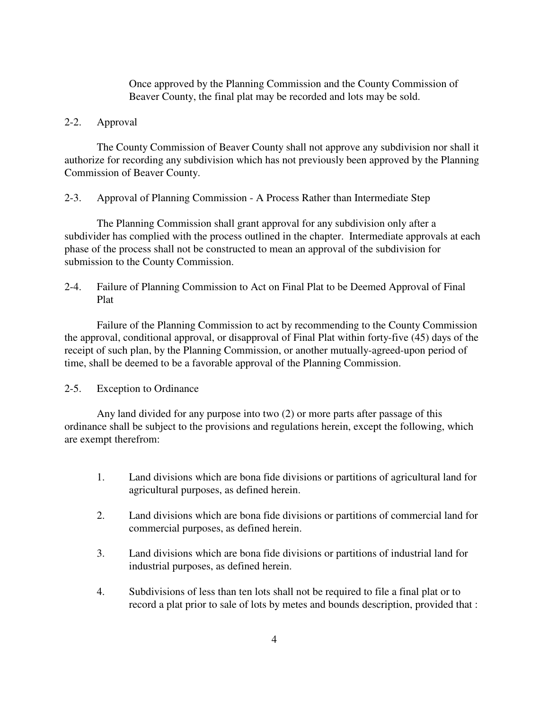Once approved by the Planning Commission and the County Commission of Beaver County, the final plat may be recorded and lots may be sold.

#### 2-2. Approval

The County Commission of Beaver County shall not approve any subdivision nor shall it authorize for recording any subdivision which has not previously been approved by the Planning Commission of Beaver County.

2-3. Approval of Planning Commission - A Process Rather than Intermediate Step

The Planning Commission shall grant approval for any subdivision only after a subdivider has complied with the process outlined in the chapter. Intermediate approvals at each phase of the process shall not be constructed to mean an approval of the subdivision for submission to the County Commission.

2-4. Failure of Planning Commission to Act on Final Plat to be Deemed Approval of Final Plat

Failure of the Planning Commission to act by recommending to the County Commission the approval, conditional approval, or disapproval of Final Plat within forty-five (45) days of the receipt of such plan, by the Planning Commission, or another mutually-agreed-upon period of time, shall be deemed to be a favorable approval of the Planning Commission.

#### 2-5. Exception to Ordinance

Any land divided for any purpose into two (2) or more parts after passage of this ordinance shall be subject to the provisions and regulations herein, except the following, which are exempt therefrom:

- 1. Land divisions which are bona fide divisions or partitions of agricultural land for agricultural purposes, as defined herein.
- 2. Land divisions which are bona fide divisions or partitions of commercial land for commercial purposes, as defined herein.
- 3. Land divisions which are bona fide divisions or partitions of industrial land for industrial purposes, as defined herein.
- 4. Subdivisions of less than ten lots shall not be required to file a final plat or to record a plat prior to sale of lots by metes and bounds description, provided that :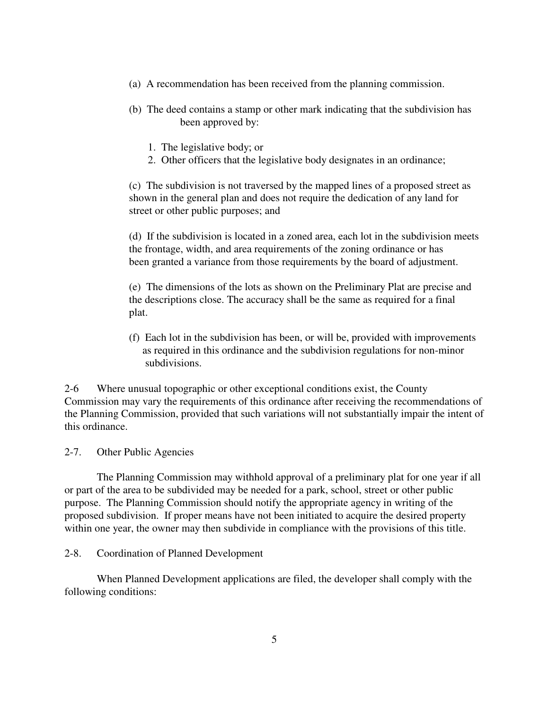- (a) A recommendation has been received from the planning commission.
- (b) The deed contains a stamp or other mark indicating that the subdivision has been approved by:
	- 1. The legislative body; or
	- 2. Other officers that the legislative body designates in an ordinance;

(c) The subdivision is not traversed by the mapped lines of a proposed street as shown in the general plan and does not require the dedication of any land for street or other public purposes; and

(d) If the subdivision is located in a zoned area, each lot in the subdivision meets the frontage, width, and area requirements of the zoning ordinance or has been granted a variance from those requirements by the board of adjustment.

(e) The dimensions of the lots as shown on the Preliminary Plat are precise and the descriptions close. The accuracy shall be the same as required for a final plat.

(f) Each lot in the subdivision has been, or will be, provided with improvements as required in this ordinance and the subdivision regulations for non-minor subdivisions.

2-6 Where unusual topographic or other exceptional conditions exist, the County Commission may vary the requirements of this ordinance after receiving the recommendations of the Planning Commission, provided that such variations will not substantially impair the intent of this ordinance.

2-7. Other Public Agencies

The Planning Commission may withhold approval of a preliminary plat for one year if all or part of the area to be subdivided may be needed for a park, school, street or other public purpose. The Planning Commission should notify the appropriate agency in writing of the proposed subdivision. If proper means have not been initiated to acquire the desired property within one year, the owner may then subdivide in compliance with the provisions of this title.

## 2-8. Coordination of Planned Development

When Planned Development applications are filed, the developer shall comply with the following conditions: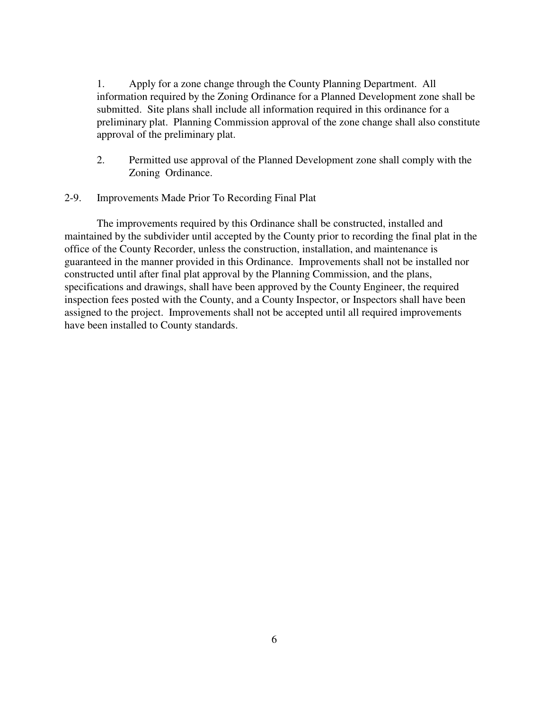1. Apply for a zone change through the County Planning Department. All information required by the Zoning Ordinance for a Planned Development zone shall be submitted. Site plans shall include all information required in this ordinance for a preliminary plat. Planning Commission approval of the zone change shall also constitute approval of the preliminary plat.

- 2. Permitted use approval of the Planned Development zone shall comply with the Zoning Ordinance.
- 2-9. Improvements Made Prior To Recording Final Plat

The improvements required by this Ordinance shall be constructed, installed and maintained by the subdivider until accepted by the County prior to recording the final plat in the office of the County Recorder, unless the construction, installation, and maintenance is guaranteed in the manner provided in this Ordinance. Improvements shall not be installed nor constructed until after final plat approval by the Planning Commission, and the plans, specifications and drawings, shall have been approved by the County Engineer, the required inspection fees posted with the County, and a County Inspector, or Inspectors shall have been assigned to the project. Improvements shall not be accepted until all required improvements have been installed to County standards.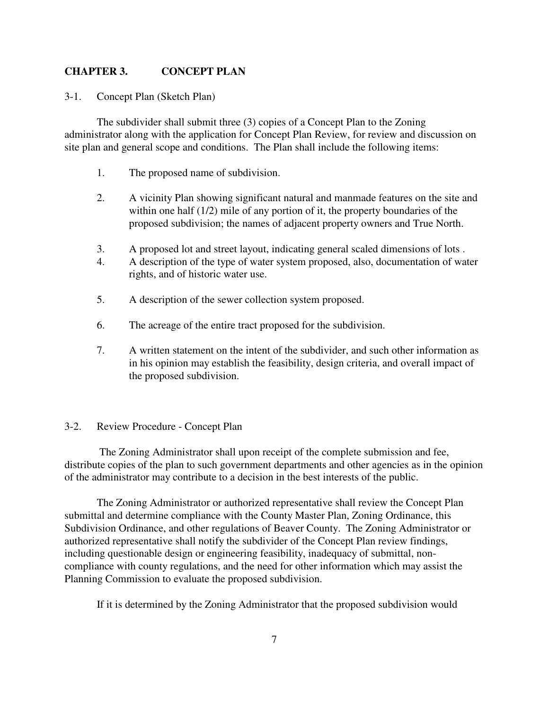### **CHAPTER 3. CONCEPT PLAN**

3-1. Concept Plan (Sketch Plan)

The subdivider shall submit three (3) copies of a Concept Plan to the Zoning administrator along with the application for Concept Plan Review, for review and discussion on site plan and general scope and conditions. The Plan shall include the following items:

- 1. The proposed name of subdivision.
- 2. A vicinity Plan showing significant natural and manmade features on the site and within one half (1/2) mile of any portion of it, the property boundaries of the proposed subdivision; the names of adjacent property owners and True North.
- 3. A proposed lot and street layout, indicating general scaled dimensions of lots .
- 4. A description of the type of water system proposed, also, documentation of water rights, and of historic water use.
- 5. A description of the sewer collection system proposed.
- 6. The acreage of the entire tract proposed for the subdivision.
- 7. A written statement on the intent of the subdivider, and such other information as in his opinion may establish the feasibility, design criteria, and overall impact of the proposed subdivision.

#### 3-2. Review Procedure - Concept Plan

 The Zoning Administrator shall upon receipt of the complete submission and fee, distribute copies of the plan to such government departments and other agencies as in the opinion of the administrator may contribute to a decision in the best interests of the public.

The Zoning Administrator or authorized representative shall review the Concept Plan submittal and determine compliance with the County Master Plan, Zoning Ordinance, this Subdivision Ordinance, and other regulations of Beaver County. The Zoning Administrator or authorized representative shall notify the subdivider of the Concept Plan review findings, including questionable design or engineering feasibility, inadequacy of submittal, noncompliance with county regulations, and the need for other information which may assist the Planning Commission to evaluate the proposed subdivision.

If it is determined by the Zoning Administrator that the proposed subdivision would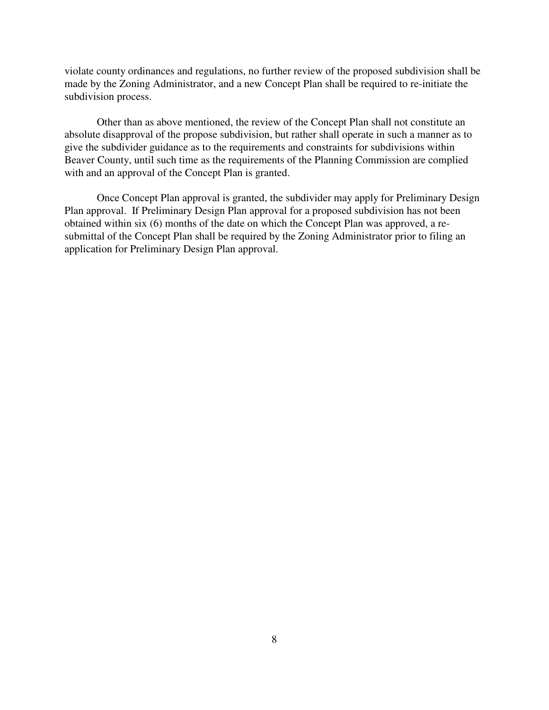violate county ordinances and regulations, no further review of the proposed subdivision shall be made by the Zoning Administrator, and a new Concept Plan shall be required to re-initiate the subdivision process.

Other than as above mentioned, the review of the Concept Plan shall not constitute an absolute disapproval of the propose subdivision, but rather shall operate in such a manner as to give the subdivider guidance as to the requirements and constraints for subdivisions within Beaver County, until such time as the requirements of the Planning Commission are complied with and an approval of the Concept Plan is granted.

Once Concept Plan approval is granted, the subdivider may apply for Preliminary Design Plan approval. If Preliminary Design Plan approval for a proposed subdivision has not been obtained within six (6) months of the date on which the Concept Plan was approved, a resubmittal of the Concept Plan shall be required by the Zoning Administrator prior to filing an application for Preliminary Design Plan approval.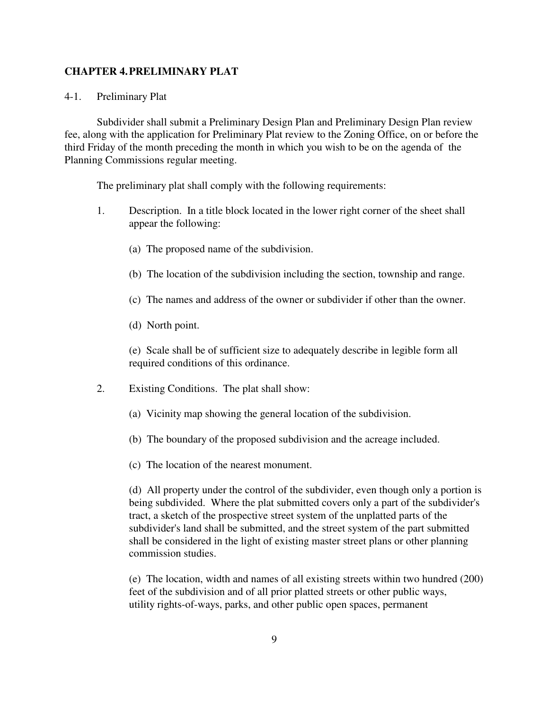#### **CHAPTER 4. PRELIMINARY PLAT**

#### 4-1. Preliminary Plat

Subdivider shall submit a Preliminary Design Plan and Preliminary Design Plan review fee, along with the application for Preliminary Plat review to the Zoning Office, on or before the third Friday of the month preceding the month in which you wish to be on the agenda of the Planning Commissions regular meeting.

The preliminary plat shall comply with the following requirements:

- 1. Description. In a title block located in the lower right corner of the sheet shall appear the following:
	- (a) The proposed name of the subdivision.
	- (b) The location of the subdivision including the section, township and range.
	- (c) The names and address of the owner or subdivider if other than the owner.
	- (d) North point.

(e) Scale shall be of sufficient size to adequately describe in legible form all required conditions of this ordinance.

- 2. Existing Conditions. The plat shall show:
	- (a) Vicinity map showing the general location of the subdivision.
	- (b) The boundary of the proposed subdivision and the acreage included.
	- (c) The location of the nearest monument.

(d) All property under the control of the subdivider, even though only a portion is being subdivided. Where the plat submitted covers only a part of the subdivider's tract, a sketch of the prospective street system of the unplatted parts of the subdivider's land shall be submitted, and the street system of the part submitted shall be considered in the light of existing master street plans or other planning commission studies.

(e) The location, width and names of all existing streets within two hundred (200) feet of the subdivision and of all prior platted streets or other public ways, utility rights-of-ways, parks, and other public open spaces, permanent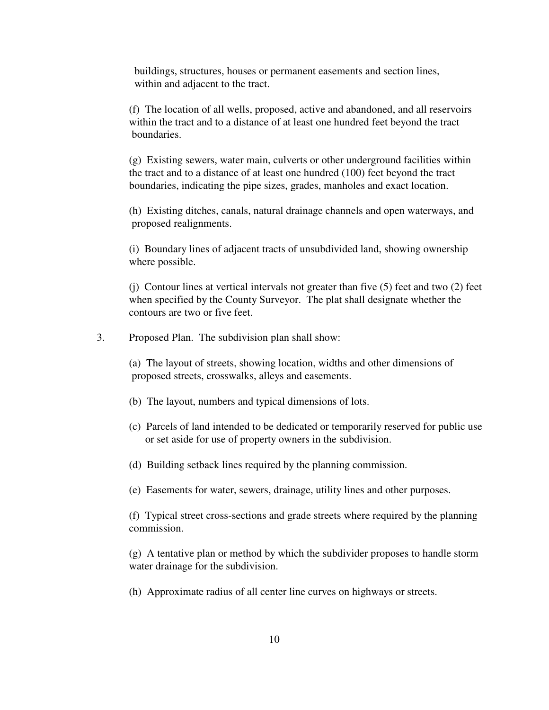buildings, structures, houses or permanent easements and section lines, within and adjacent to the tract.

(f) The location of all wells, proposed, active and abandoned, and all reservoirs within the tract and to a distance of at least one hundred feet beyond the tract boundaries.

(g) Existing sewers, water main, culverts or other underground facilities within the tract and to a distance of at least one hundred (100) feet beyond the tract boundaries, indicating the pipe sizes, grades, manholes and exact location.

(h) Existing ditches, canals, natural drainage channels and open waterways, and proposed realignments.

(i) Boundary lines of adjacent tracts of unsubdivided land, showing ownership where possible.

(j) Contour lines at vertical intervals not greater than five (5) feet and two (2) feet when specified by the County Surveyor. The plat shall designate whether the contours are two or five feet.

3. Proposed Plan. The subdivision plan shall show:

(a) The layout of streets, showing location, widths and other dimensions of proposed streets, crosswalks, alleys and easements.

- (b) The layout, numbers and typical dimensions of lots.
- (c) Parcels of land intended to be dedicated or temporarily reserved for public use or set aside for use of property owners in the subdivision.
- (d) Building setback lines required by the planning commission.

(e) Easements for water, sewers, drainage, utility lines and other purposes.

(f) Typical street cross-sections and grade streets where required by the planning commission.

(g) A tentative plan or method by which the subdivider proposes to handle storm water drainage for the subdivision.

(h) Approximate radius of all center line curves on highways or streets.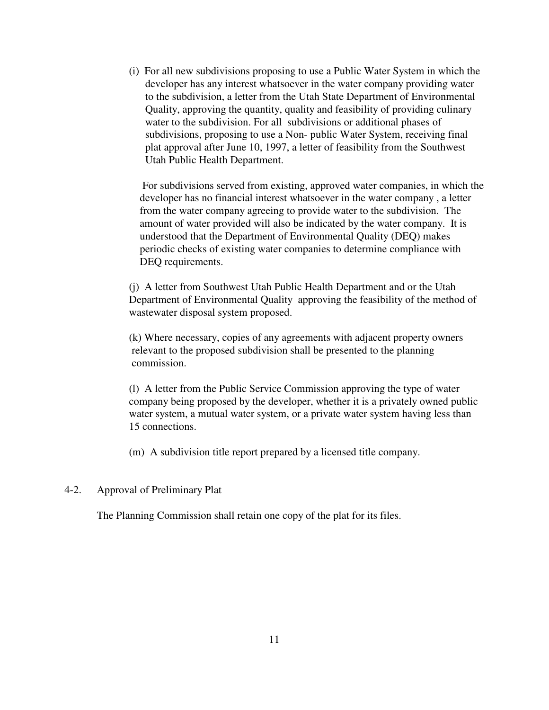(i) For all new subdivisions proposing to use a Public Water System in which the developer has any interest whatsoever in the water company providing water to the subdivision, a letter from the Utah State Department of Environmental Quality, approving the quantity, quality and feasibility of providing culinary water to the subdivision. For all subdivisions or additional phases of subdivisions, proposing to use a Non- public Water System, receiving final plat approval after June 10, 1997, a letter of feasibility from the Southwest Utah Public Health Department.

 For subdivisions served from existing, approved water companies, in which the developer has no financial interest whatsoever in the water company , a letter from the water company agreeing to provide water to the subdivision. The amount of water provided will also be indicated by the water company. It is understood that the Department of Environmental Quality (DEQ) makes periodic checks of existing water companies to determine compliance with DEQ requirements.

(j) A letter from Southwest Utah Public Health Department and or the Utah Department of Environmental Quality approving the feasibility of the method of wastewater disposal system proposed.

(k) Where necessary, copies of any agreements with adjacent property owners relevant to the proposed subdivision shall be presented to the planning commission.

(l) A letter from the Public Service Commission approving the type of water company being proposed by the developer, whether it is a privately owned public water system, a mutual water system, or a private water system having less than 15 connections.

(m) A subdivision title report prepared by a licensed title company.

4-2. Approval of Preliminary Plat

The Planning Commission shall retain one copy of the plat for its files.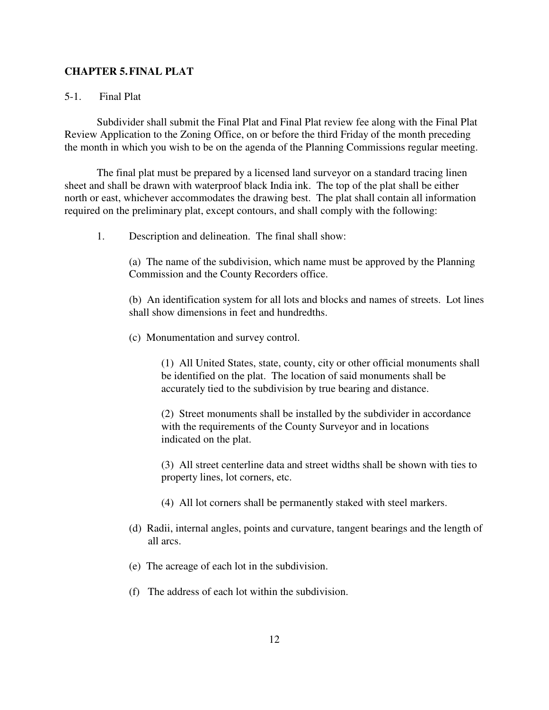### **CHAPTER 5. FINAL PLAT**

### 5-1. Final Plat

Subdivider shall submit the Final Plat and Final Plat review fee along with the Final Plat Review Application to the Zoning Office, on or before the third Friday of the month preceding the month in which you wish to be on the agenda of the Planning Commissions regular meeting.

The final plat must be prepared by a licensed land surveyor on a standard tracing linen sheet and shall be drawn with waterproof black India ink. The top of the plat shall be either north or east, whichever accommodates the drawing best. The plat shall contain all information required on the preliminary plat, except contours, and shall comply with the following:

1. Description and delineation. The final shall show:

(a) The name of the subdivision, which name must be approved by the Planning Commission and the County Recorders office.

(b) An identification system for all lots and blocks and names of streets. Lot lines shall show dimensions in feet and hundredths.

(c) Monumentation and survey control.

(1) All United States, state, county, city or other official monuments shall be identified on the plat. The location of said monuments shall be accurately tied to the subdivision by true bearing and distance.

(2) Street monuments shall be installed by the subdivider in accordance with the requirements of the County Surveyor and in locations indicated on the plat.

(3) All street centerline data and street widths shall be shown with ties to property lines, lot corners, etc.

- (4) All lot corners shall be permanently staked with steel markers.
- (d) Radii, internal angles, points and curvature, tangent bearings and the length of all arcs.
- (e) The acreage of each lot in the subdivision.
- (f) The address of each lot within the subdivision.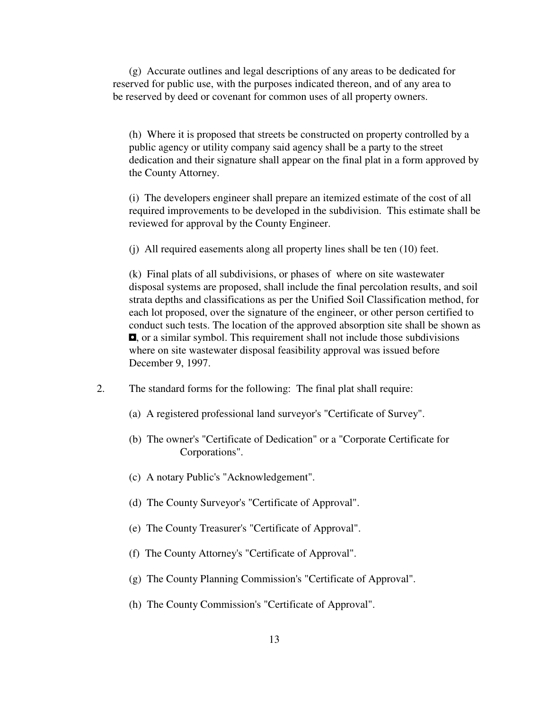(g) Accurate outlines and legal descriptions of any areas to be dedicated for reserved for public use, with the purposes indicated thereon, and of any area to be reserved by deed or covenant for common uses of all property owners.

(h) Where it is proposed that streets be constructed on property controlled by a public agency or utility company said agency shall be a party to the street dedication and their signature shall appear on the final plat in a form approved by the County Attorney.

(i) The developers engineer shall prepare an itemized estimate of the cost of all required improvements to be developed in the subdivision. This estimate shall be reviewed for approval by the County Engineer.

(j) All required easements along all property lines shall be ten (10) feet.

(k) Final plats of all subdivisions, or phases of where on site wastewater disposal systems are proposed, shall include the final percolation results, and soil strata depths and classifications as per the Unified Soil Classification method, for each lot proposed, over the signature of the engineer, or other person certified to conduct such tests. The location of the approved absorption site shall be shown as 3, or a similar symbol. This requirement shall not include those subdivisions where on site wastewater disposal feasibility approval was issued before December 9, 1997.

- 2. The standard forms for the following: The final plat shall require:
	- (a) A registered professional land surveyor's "Certificate of Survey".
	- (b) The owner's "Certificate of Dedication" or a "Corporate Certificate for Corporations".
	- (c) A notary Public's "Acknowledgement".
	- (d) The County Surveyor's "Certificate of Approval".
	- (e) The County Treasurer's "Certificate of Approval".
	- (f) The County Attorney's "Certificate of Approval".
	- (g) The County Planning Commission's "Certificate of Approval".
	- (h) The County Commission's "Certificate of Approval".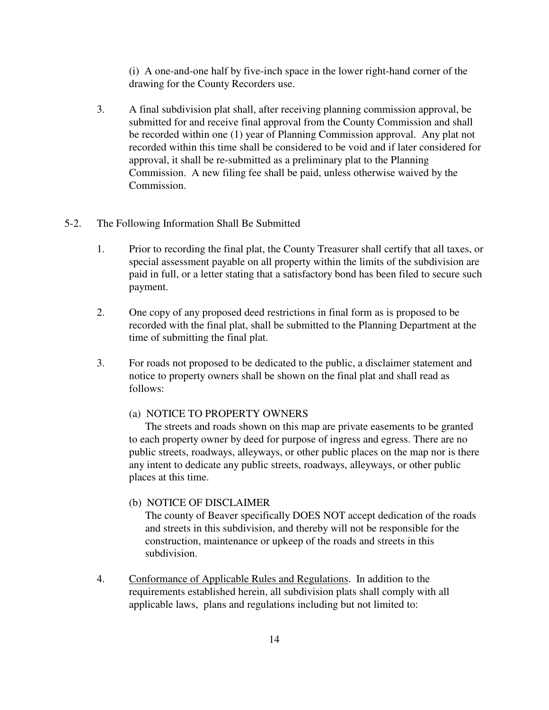(i) A one-and-one half by five-inch space in the lower right-hand corner of the drawing for the County Recorders use.

3. A final subdivision plat shall, after receiving planning commission approval, be submitted for and receive final approval from the County Commission and shall be recorded within one (1) year of Planning Commission approval. Any plat not recorded within this time shall be considered to be void and if later considered for approval, it shall be re-submitted as a preliminary plat to the Planning Commission. A new filing fee shall be paid, unless otherwise waived by the Commission.

## 5-2. The Following Information Shall Be Submitted

- 1. Prior to recording the final plat, the County Treasurer shall certify that all taxes, or special assessment payable on all property within the limits of the subdivision are paid in full, or a letter stating that a satisfactory bond has been filed to secure such payment.
- 2. One copy of any proposed deed restrictions in final form as is proposed to be recorded with the final plat, shall be submitted to the Planning Department at the time of submitting the final plat.
- 3. For roads not proposed to be dedicated to the public, a disclaimer statement and notice to property owners shall be shown on the final plat and shall read as follows:

#### (a) NOTICE TO PROPERTY OWNERS

 The streets and roads shown on this map are private easements to be granted to each property owner by deed for purpose of ingress and egress. There are no public streets, roadways, alleyways, or other public places on the map nor is there any intent to dedicate any public streets, roadways, alleyways, or other public places at this time.

# (b) NOTICE OF DISCLAIMER

 The county of Beaver specifically DOES NOT accept dedication of the roads and streets in this subdivision, and thereby will not be responsible for the construction, maintenance or upkeep of the roads and streets in this subdivision.

 4. Conformance of Applicable Rules and Regulations. In addition to the requirements established herein, all subdivision plats shall comply with all applicable laws, plans and regulations including but not limited to: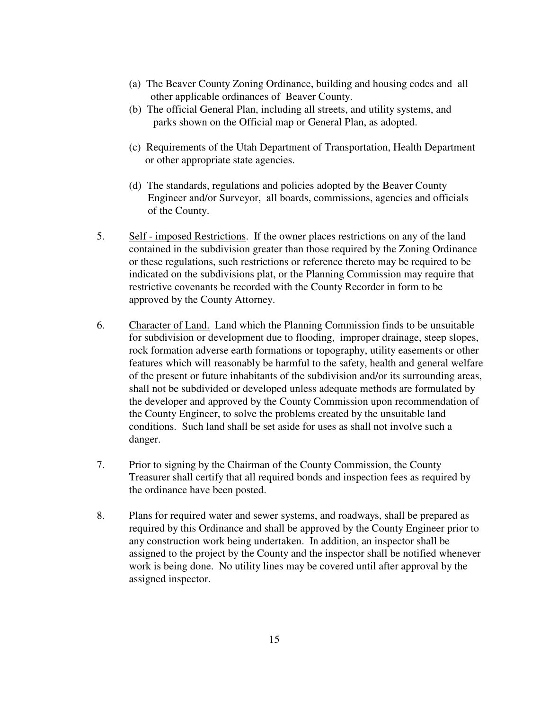- (a) The Beaver County Zoning Ordinance, building and housing codes and all other applicable ordinances of Beaver County.
- (b) The official General Plan, including all streets, and utility systems, and parks shown on the Official map or General Plan, as adopted.
- (c) Requirements of the Utah Department of Transportation, Health Department or other appropriate state agencies.
- (d) The standards, regulations and policies adopted by the Beaver County Engineer and/or Surveyor, all boards, commissions, agencies and officials of the County.
- 5. Self imposed Restrictions. If the owner places restrictions on any of the land contained in the subdivision greater than those required by the Zoning Ordinance or these regulations, such restrictions or reference thereto may be required to be indicated on the subdivisions plat, or the Planning Commission may require that restrictive covenants be recorded with the County Recorder in form to be approved by the County Attorney.
- 6. Character of Land. Land which the Planning Commission finds to be unsuitable for subdivision or development due to flooding, improper drainage, steep slopes, rock formation adverse earth formations or topography, utility easements or other features which will reasonably be harmful to the safety, health and general welfare of the present or future inhabitants of the subdivision and/or its surrounding areas, shall not be subdivided or developed unless adequate methods are formulated by the developer and approved by the County Commission upon recommendation of the County Engineer, to solve the problems created by the unsuitable land conditions. Such land shall be set aside for uses as shall not involve such a danger.
- 7. Prior to signing by the Chairman of the County Commission, the County Treasurer shall certify that all required bonds and inspection fees as required by the ordinance have been posted.
- 8. Plans for required water and sewer systems, and roadways, shall be prepared as required by this Ordinance and shall be approved by the County Engineer prior to any construction work being undertaken. In addition, an inspector shall be assigned to the project by the County and the inspector shall be notified whenever work is being done. No utility lines may be covered until after approval by the assigned inspector.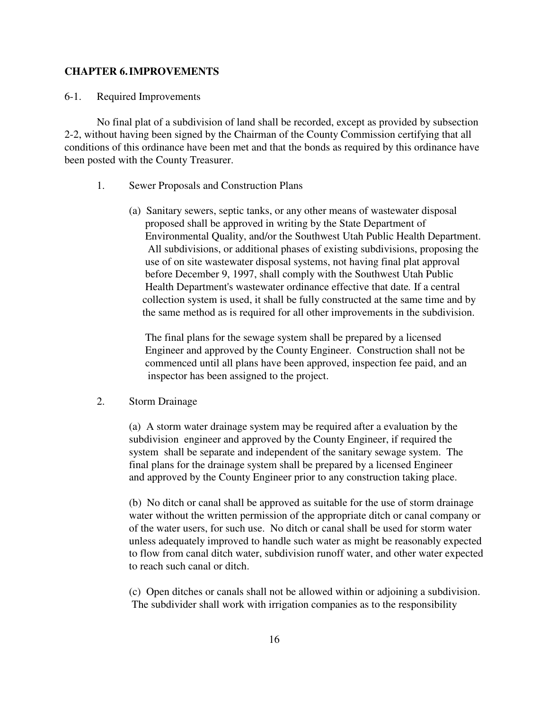#### **CHAPTER 6. IMPROVEMENTS**

#### 6-1. Required Improvements

No final plat of a subdivision of land shall be recorded, except as provided by subsection 2-2, without having been signed by the Chairman of the County Commission certifying that all conditions of this ordinance have been met and that the bonds as required by this ordinance have been posted with the County Treasurer.

- 1. Sewer Proposals and Construction Plans
	- (a) Sanitary sewers, septic tanks, or any other means of wastewater disposal proposed shall be approved in writing by the State Department of Environmental Quality, and/or the Southwest Utah Public Health Department. All subdivisions, or additional phases of existing subdivisions, proposing the use of on site wastewater disposal systems, not having final plat approval before December 9, 1997, shall comply with the Southwest Utah Public Health Department's wastewater ordinance effective that date*.* If a central collection system is used, it shall be fully constructed at the same time and by the same method as is required for all other improvements in the subdivision.

 The final plans for the sewage system shall be prepared by a licensed Engineer and approved by the County Engineer. Construction shall not be commenced until all plans have been approved, inspection fee paid, and an inspector has been assigned to the project.

#### 2. Storm Drainage

(a) A storm water drainage system may be required after a evaluation by the subdivision engineer and approved by the County Engineer, if required the system shall be separate and independent of the sanitary sewage system. The final plans for the drainage system shall be prepared by a licensed Engineer and approved by the County Engineer prior to any construction taking place.

(b) No ditch or canal shall be approved as suitable for the use of storm drainage water without the written permission of the appropriate ditch or canal company or of the water users, for such use. No ditch or canal shall be used for storm water unless adequately improved to handle such water as might be reasonably expected to flow from canal ditch water, subdivision runoff water, and other water expected to reach such canal or ditch.

(c) Open ditches or canals shall not be allowed within or adjoining a subdivision. The subdivider shall work with irrigation companies as to the responsibility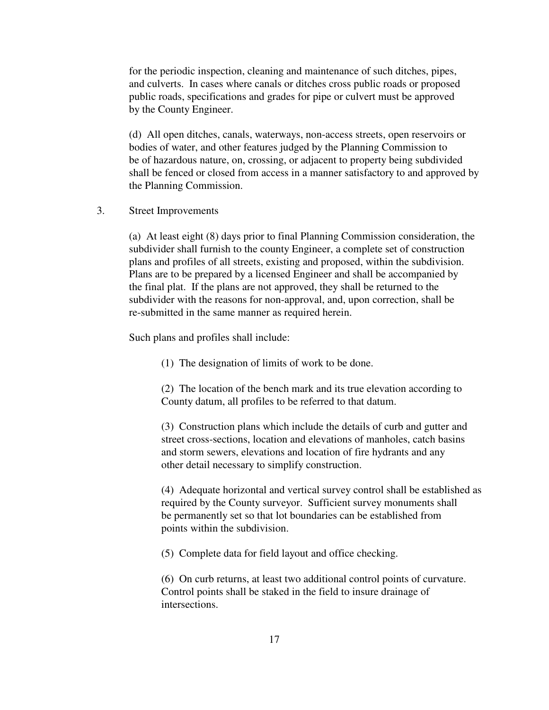for the periodic inspection, cleaning and maintenance of such ditches, pipes, and culverts. In cases where canals or ditches cross public roads or proposed public roads, specifications and grades for pipe or culvert must be approved by the County Engineer.

(d) All open ditches, canals, waterways, non-access streets, open reservoirs or bodies of water, and other features judged by the Planning Commission to be of hazardous nature, on, crossing, or adjacent to property being subdivided shall be fenced or closed from access in a manner satisfactory to and approved by the Planning Commission.

3. Street Improvements

(a) At least eight (8) days prior to final Planning Commission consideration, the subdivider shall furnish to the county Engineer, a complete set of construction plans and profiles of all streets, existing and proposed, within the subdivision. Plans are to be prepared by a licensed Engineer and shall be accompanied by the final plat. If the plans are not approved, they shall be returned to the subdivider with the reasons for non-approval, and, upon correction, shall be re-submitted in the same manner as required herein.

Such plans and profiles shall include:

(1) The designation of limits of work to be done.

(2) The location of the bench mark and its true elevation according to County datum, all profiles to be referred to that datum.

(3) Construction plans which include the details of curb and gutter and street cross-sections, location and elevations of manholes, catch basins and storm sewers, elevations and location of fire hydrants and any other detail necessary to simplify construction.

(4) Adequate horizontal and vertical survey control shall be established as required by the County surveyor. Sufficient survey monuments shall be permanently set so that lot boundaries can be established from points within the subdivision.

(5) Complete data for field layout and office checking.

(6) On curb returns, at least two additional control points of curvature. Control points shall be staked in the field to insure drainage of intersections.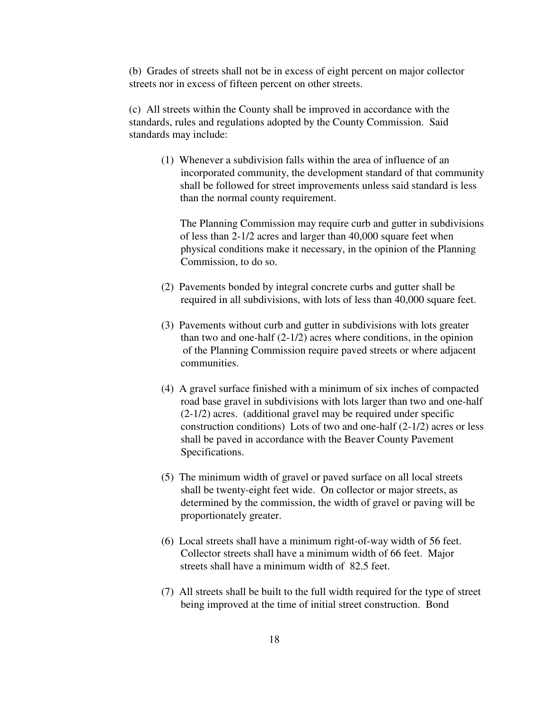(b) Grades of streets shall not be in excess of eight percent on major collector streets nor in excess of fifteen percent on other streets.

(c) All streets within the County shall be improved in accordance with the standards, rules and regulations adopted by the County Commission. Said standards may include:

 (1) Whenever a subdivision falls within the area of influence of an incorporated community, the development standard of that community shall be followed for street improvements unless said standard is less than the normal county requirement.

 The Planning Commission may require curb and gutter in subdivisions of less than 2-1/2 acres and larger than 40,000 square feet when physical conditions make it necessary, in the opinion of the Planning Commission, to do so.

- (2) Pavements bonded by integral concrete curbs and gutter shall be required in all subdivisions, with lots of less than 40,000 square feet.
- (3) Pavements without curb and gutter in subdivisions with lots greater than two and one-half  $(2-1/2)$  acres where conditions, in the opinion of the Planning Commission require paved streets or where adjacent communities.
- (4) A gravel surface finished with a minimum of six inches of compacted road base gravel in subdivisions with lots larger than two and one-half (2-1/2) acres. (additional gravel may be required under specific construction conditions) Lots of two and one-half (2-1/2) acres or less shall be paved in accordance with the Beaver County Pavement Specifications.
- (5) The minimum width of gravel or paved surface on all local streets shall be twenty-eight feet wide. On collector or major streets, as determined by the commission, the width of gravel or paving will be proportionately greater.
- (6) Local streets shall have a minimum right-of-way width of 56 feet. Collector streets shall have a minimum width of 66 feet. Major streets shall have a minimum width of 82.5 feet.
- (7) All streets shall be built to the full width required for the type of street being improved at the time of initial street construction. Bond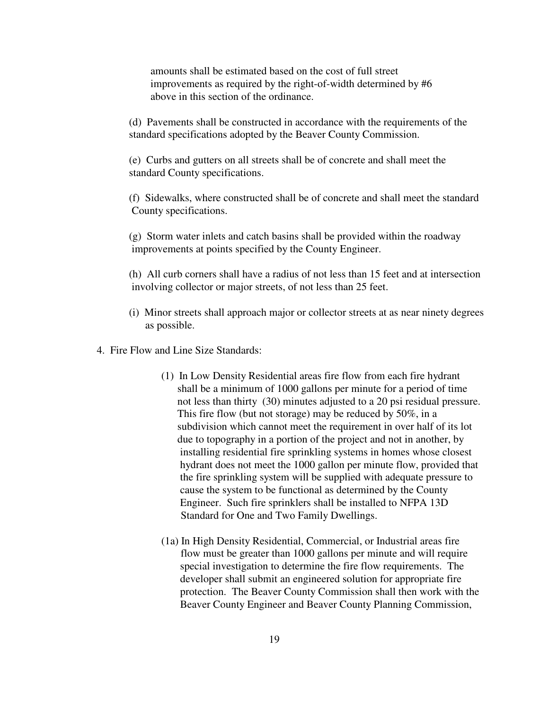amounts shall be estimated based on the cost of full street improvements as required by the right-of-width determined by #6 above in this section of the ordinance.

(d) Pavements shall be constructed in accordance with the requirements of the standard specifications adopted by the Beaver County Commission.

(e) Curbs and gutters on all streets shall be of concrete and shall meet the standard County specifications.

(f) Sidewalks, where constructed shall be of concrete and shall meet the standard County specifications.

(g) Storm water inlets and catch basins shall be provided within the roadway improvements at points specified by the County Engineer.

(h) All curb corners shall have a radius of not less than 15 feet and at intersection involving collector or major streets, of not less than 25 feet.

- (i) Minor streets shall approach major or collector streets at as near ninety degrees as possible.
- 4. Fire Flow and Line Size Standards:
	- (1) In Low Density Residential areas fire flow from each fire hydrant shall be a minimum of 1000 gallons per minute for a period of time not less than thirty (30) minutes adjusted to a 20 psi residual pressure. This fire flow (but not storage) may be reduced by 50%, in a subdivision which cannot meet the requirement in over half of its lot due to topography in a portion of the project and not in another, by installing residential fire sprinkling systems in homes whose closest hydrant does not meet the 1000 gallon per minute flow, provided that the fire sprinkling system will be supplied with adequate pressure to cause the system to be functional as determined by the County Engineer. Such fire sprinklers shall be installed to NFPA 13D Standard for One and Two Family Dwellings.
	- (1a) In High Density Residential, Commercial, or Industrial areas fire flow must be greater than 1000 gallons per minute and will require special investigation to determine the fire flow requirements. The developer shall submit an engineered solution for appropriate fire protection. The Beaver County Commission shall then work with the Beaver County Engineer and Beaver County Planning Commission,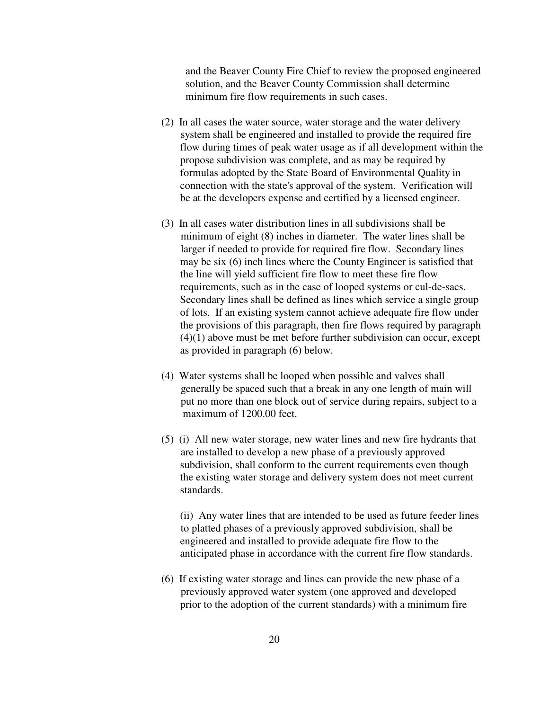and the Beaver County Fire Chief to review the proposed engineered solution, and the Beaver County Commission shall determine minimum fire flow requirements in such cases.

- (2) In all cases the water source, water storage and the water delivery system shall be engineered and installed to provide the required fire flow during times of peak water usage as if all development within the propose subdivision was complete, and as may be required by formulas adopted by the State Board of Environmental Quality in connection with the state's approval of the system. Verification will be at the developers expense and certified by a licensed engineer.
- (3) In all cases water distribution lines in all subdivisions shall be minimum of eight (8) inches in diameter. The water lines shall be larger if needed to provide for required fire flow. Secondary lines may be six (6) inch lines where the County Engineer is satisfied that the line will yield sufficient fire flow to meet these fire flow requirements, such as in the case of looped systems or cul-de-sacs. Secondary lines shall be defined as lines which service a single group of lots. If an existing system cannot achieve adequate fire flow under the provisions of this paragraph, then fire flows required by paragraph (4)(1) above must be met before further subdivision can occur, except as provided in paragraph (6) below.
- (4) Water systems shall be looped when possible and valves shall generally be spaced such that a break in any one length of main will put no more than one block out of service during repairs, subject to a maximum of 1200.00 feet.
- (5) (i) All new water storage, new water lines and new fire hydrants that are installed to develop a new phase of a previously approved subdivision, shall conform to the current requirements even though the existing water storage and delivery system does not meet current standards.

 (ii) Any water lines that are intended to be used as future feeder lines to platted phases of a previously approved subdivision, shall be engineered and installed to provide adequate fire flow to the anticipated phase in accordance with the current fire flow standards.

(6) If existing water storage and lines can provide the new phase of a previously approved water system (one approved and developed prior to the adoption of the current standards) with a minimum fire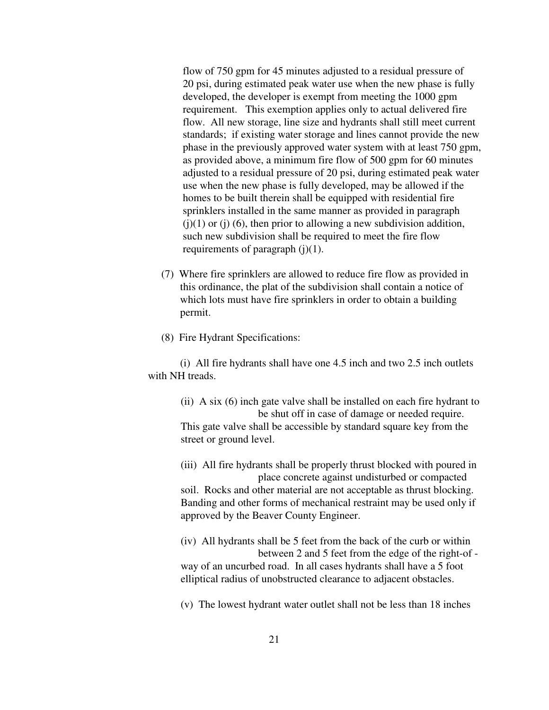flow of 750 gpm for 45 minutes adjusted to a residual pressure of 20 psi, during estimated peak water use when the new phase is fully developed, the developer is exempt from meeting the 1000 gpm requirement. This exemption applies only to actual delivered fire flow. All new storage, line size and hydrants shall still meet current standards; if existing water storage and lines cannot provide the new phase in the previously approved water system with at least 750 gpm, as provided above, a minimum fire flow of 500 gpm for 60 minutes adjusted to a residual pressure of 20 psi, during estimated peak water use when the new phase is fully developed, may be allowed if the homes to be built therein shall be equipped with residential fire sprinklers installed in the same manner as provided in paragraph  $(i)(1)$  or  $(i)$  (6), then prior to allowing a new subdivision addition, such new subdivision shall be required to meet the fire flow requirements of paragraph (j)(1).

(7) Where fire sprinklers are allowed to reduce fire flow as provided in this ordinance, the plat of the subdivision shall contain a notice of which lots must have fire sprinklers in order to obtain a building permit.

(8) Fire Hydrant Specifications:

 (i) All fire hydrants shall have one 4.5 inch and two 2.5 inch outlets with NH treads.

(ii) A six (6) inch gate valve shall be installed on each fire hydrant to be shut off in case of damage or needed require. This gate valve shall be accessible by standard square key from the street or ground level.

(iii) All fire hydrants shall be properly thrust blocked with poured in place concrete against undisturbed or compacted soil. Rocks and other material are not acceptable as thrust blocking. Banding and other forms of mechanical restraint may be used only if approved by the Beaver County Engineer.

(iv) All hydrants shall be 5 feet from the back of the curb or within between 2 and 5 feet from the edge of the right-of way of an uncurbed road. In all cases hydrants shall have a 5 foot elliptical radius of unobstructed clearance to adjacent obstacles.

(v) The lowest hydrant water outlet shall not be less than 18 inches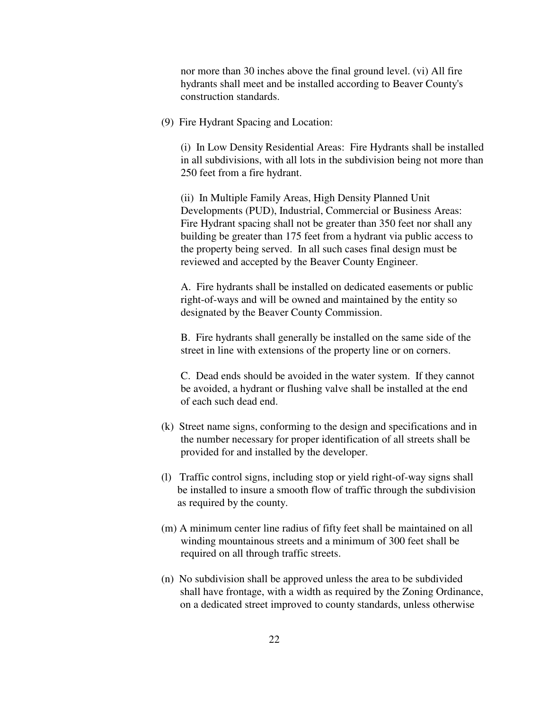nor more than 30 inches above the final ground level. (vi) All fire hydrants shall meet and be installed according to Beaver County's construction standards.

(9) Fire Hydrant Spacing and Location:

(i) In Low Density Residential Areas: Fire Hydrants shall be installed in all subdivisions, with all lots in the subdivision being not more than 250 feet from a fire hydrant.

(ii) In Multiple Family Areas, High Density Planned Unit Developments (PUD), Industrial, Commercial or Business Areas: Fire Hydrant spacing shall not be greater than 350 feet nor shall any building be greater than 175 feet from a hydrant via public access to the property being served. In all such cases final design must be reviewed and accepted by the Beaver County Engineer.

A. Fire hydrants shall be installed on dedicated easements or public right-of-ways and will be owned and maintained by the entity so designated by the Beaver County Commission.

B. Fire hydrants shall generally be installed on the same side of the street in line with extensions of the property line or on corners.

C. Dead ends should be avoided in the water system. If they cannot be avoided, a hydrant or flushing valve shall be installed at the end of each such dead end.

- (k) Street name signs, conforming to the design and specifications and in the number necessary for proper identification of all streets shall be provided for and installed by the developer.
- (l) Traffic control signs, including stop or yield right-of-way signs shall be installed to insure a smooth flow of traffic through the subdivision as required by the county.
- (m) A minimum center line radius of fifty feet shall be maintained on all winding mountainous streets and a minimum of 300 feet shall be required on all through traffic streets.
- (n) No subdivision shall be approved unless the area to be subdivided shall have frontage, with a width as required by the Zoning Ordinance, on a dedicated street improved to county standards, unless otherwise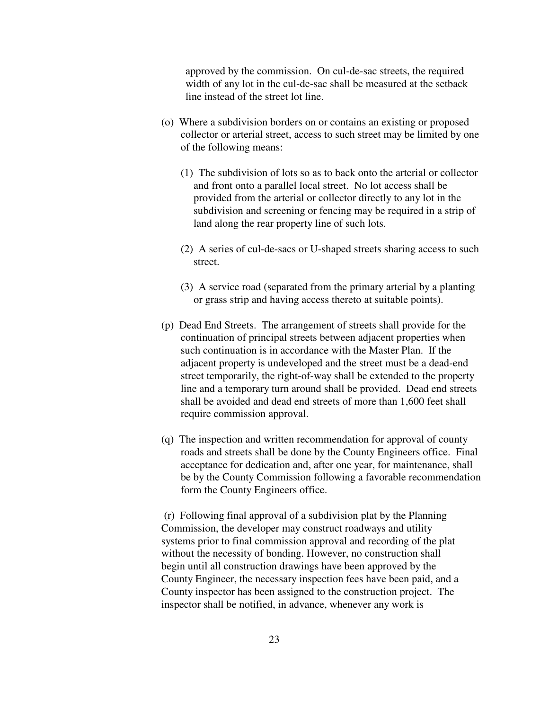approved by the commission. On cul-de-sac streets, the required width of any lot in the cul-de-sac shall be measured at the setback line instead of the street lot line.

- (o) Where a subdivision borders on or contains an existing or proposed collector or arterial street, access to such street may be limited by one of the following means:
	- (1) The subdivision of lots so as to back onto the arterial or collector and front onto a parallel local street. No lot access shall be provided from the arterial or collector directly to any lot in the subdivision and screening or fencing may be required in a strip of land along the rear property line of such lots.
	- (2) A series of cul-de-sacs or U-shaped streets sharing access to such street.
	- (3) A service road (separated from the primary arterial by a planting or grass strip and having access thereto at suitable points).
- (p) Dead End Streets. The arrangement of streets shall provide for the continuation of principal streets between adjacent properties when such continuation is in accordance with the Master Plan. If the adjacent property is undeveloped and the street must be a dead-end street temporarily, the right-of-way shall be extended to the property line and a temporary turn around shall be provided. Dead end streets shall be avoided and dead end streets of more than 1,600 feet shall require commission approval.
- (q) The inspection and written recommendation for approval of county roads and streets shall be done by the County Engineers office. Final acceptance for dedication and, after one year, for maintenance, shall be by the County Commission following a favorable recommendation form the County Engineers office.

 (r) Following final approval of a subdivision plat by the Planning Commission, the developer may construct roadways and utility systems prior to final commission approval and recording of the plat without the necessity of bonding. However, no construction shall begin until all construction drawings have been approved by the County Engineer, the necessary inspection fees have been paid, and a County inspector has been assigned to the construction project. The inspector shall be notified, in advance, whenever any work is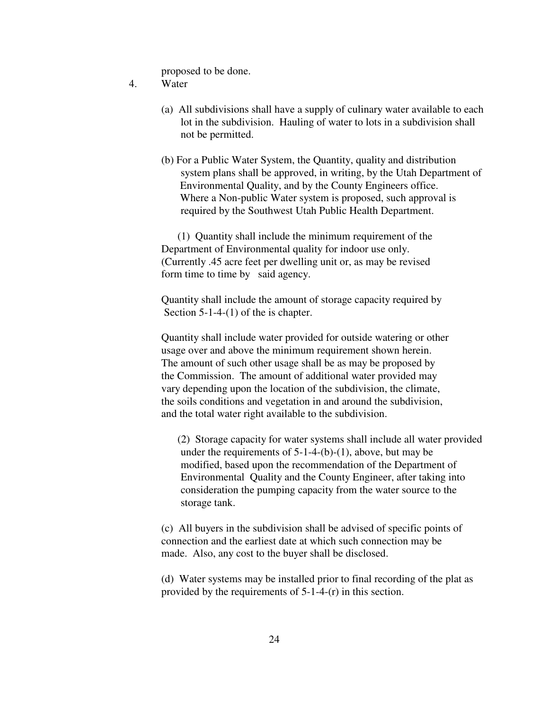proposed to be done.

- 4. Water
	- (a) All subdivisions shall have a supply of culinary water available to each lot in the subdivision. Hauling of water to lots in a subdivision shall not be permitted.
	- (b) For a Public Water System, the Quantity, quality and distribution system plans shall be approved, in writing, by the Utah Department of Environmental Quality, and by the County Engineers office. Where a Non-public Water system is proposed, such approval is required by the Southwest Utah Public Health Department.

 (1) Quantity shall include the minimum requirement of the Department of Environmental quality for indoor use only. (Currently .45 acre feet per dwelling unit or, as may be revised form time to time by said agency.

 Quantity shall include the amount of storage capacity required by Section 5-1-4-(1) of the is chapter.

 Quantity shall include water provided for outside watering or other usage over and above the minimum requirement shown herein. The amount of such other usage shall be as may be proposed by the Commission. The amount of additional water provided may vary depending upon the location of the subdivision, the climate, the soils conditions and vegetation in and around the subdivision, and the total water right available to the subdivision.

 (2) Storage capacity for water systems shall include all water provided under the requirements of  $5-1-4-(b)-(1)$ , above, but may be modified, based upon the recommendation of the Department of Environmental Quality and the County Engineer, after taking into consideration the pumping capacity from the water source to the storage tank.

(c) All buyers in the subdivision shall be advised of specific points of connection and the earliest date at which such connection may be made. Also, any cost to the buyer shall be disclosed.

(d) Water systems may be installed prior to final recording of the plat as provided by the requirements of 5-1-4-(r) in this section.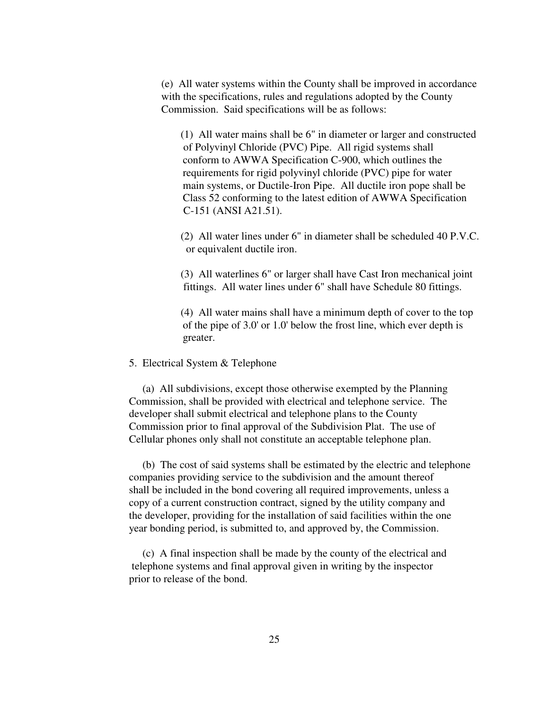(e) All water systems within the County shall be improved in accordance with the specifications, rules and regulations adopted by the County Commission. Said specifications will be as follows:

(1) All water mains shall be 6" in diameter or larger and constructed of Polyvinyl Chloride (PVC) Pipe. All rigid systems shall conform to AWWA Specification C-900, which outlines the requirements for rigid polyvinyl chloride (PVC) pipe for water main systems, or Ductile-Iron Pipe. All ductile iron pope shall be Class 52 conforming to the latest edition of AWWA Specification C-151 (ANSI A21.51).

(2) All water lines under 6" in diameter shall be scheduled 40 P.V.C. or equivalent ductile iron.

(3) All waterlines 6" or larger shall have Cast Iron mechanical joint fittings. All water lines under 6" shall have Schedule 80 fittings.

(4) All water mains shall have a minimum depth of cover to the top of the pipe of 3.0' or 1.0' below the frost line, which ever depth is greater.

#### 5. Electrical System & Telephone

 (a) All subdivisions, except those otherwise exempted by the Planning Commission, shall be provided with electrical and telephone service. The developer shall submit electrical and telephone plans to the County Commission prior to final approval of the Subdivision Plat. The use of Cellular phones only shall not constitute an acceptable telephone plan.

 (b) The cost of said systems shall be estimated by the electric and telephone companies providing service to the subdivision and the amount thereof shall be included in the bond covering all required improvements, unless a copy of a current construction contract, signed by the utility company and the developer, providing for the installation of said facilities within the one year bonding period, is submitted to, and approved by, the Commission.

 (c) A final inspection shall be made by the county of the electrical and telephone systems and final approval given in writing by the inspector prior to release of the bond.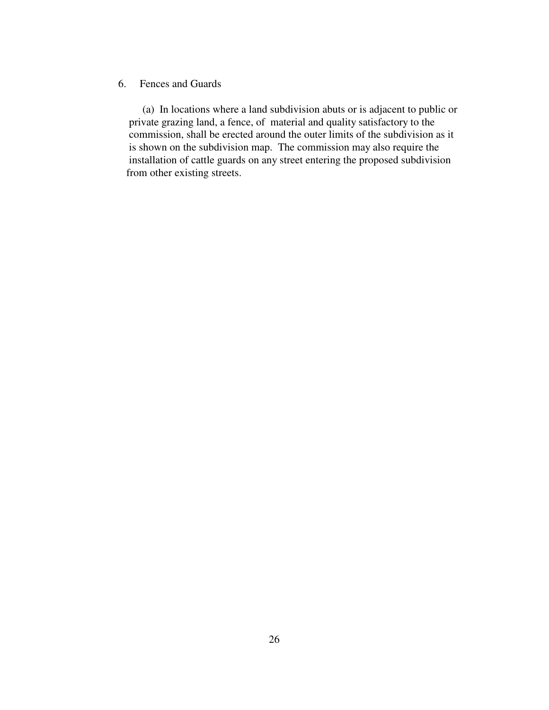# 6. Fences and Guards

 (a) In locations where a land subdivision abuts or is adjacent to public or private grazing land, a fence, of material and quality satisfactory to the commission, shall be erected around the outer limits of the subdivision as it is shown on the subdivision map. The commission may also require the installation of cattle guards on any street entering the proposed subdivision from other existing streets.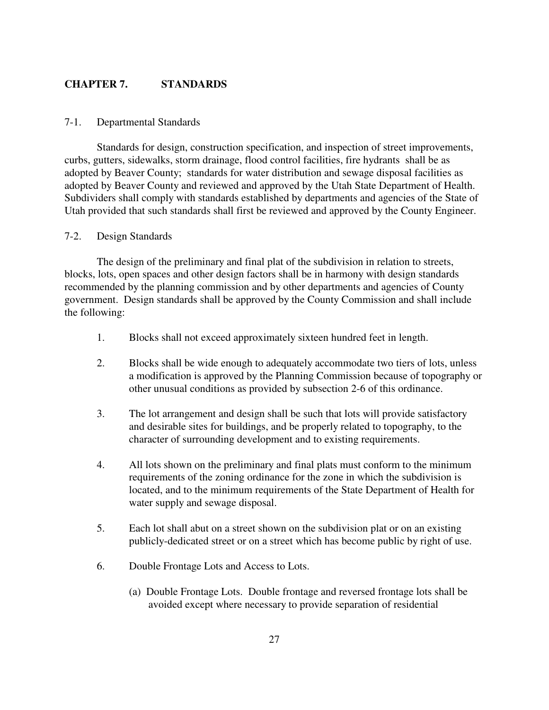# **CHAPTER 7. STANDARDS**

#### 7-1. Departmental Standards

Standards for design, construction specification, and inspection of street improvements, curbs, gutters, sidewalks, storm drainage, flood control facilities, fire hydrants shall be as adopted by Beaver County; standards for water distribution and sewage disposal facilities as adopted by Beaver County and reviewed and approved by the Utah State Department of Health. Subdividers shall comply with standards established by departments and agencies of the State of Utah provided that such standards shall first be reviewed and approved by the County Engineer.

#### 7-2. Design Standards

The design of the preliminary and final plat of the subdivision in relation to streets, blocks, lots, open spaces and other design factors shall be in harmony with design standards recommended by the planning commission and by other departments and agencies of County government. Design standards shall be approved by the County Commission and shall include the following:

- 1. Blocks shall not exceed approximately sixteen hundred feet in length.
- 2. Blocks shall be wide enough to adequately accommodate two tiers of lots, unless a modification is approved by the Planning Commission because of topography or other unusual conditions as provided by subsection 2-6 of this ordinance.
- 3. The lot arrangement and design shall be such that lots will provide satisfactory and desirable sites for buildings, and be properly related to topography, to the character of surrounding development and to existing requirements.
- 4. All lots shown on the preliminary and final plats must conform to the minimum requirements of the zoning ordinance for the zone in which the subdivision is located, and to the minimum requirements of the State Department of Health for water supply and sewage disposal.
- 5. Each lot shall abut on a street shown on the subdivision plat or on an existing publicly-dedicated street or on a street which has become public by right of use.
- 6. Double Frontage Lots and Access to Lots.
	- (a) Double Frontage Lots. Double frontage and reversed frontage lots shall be avoided except where necessary to provide separation of residential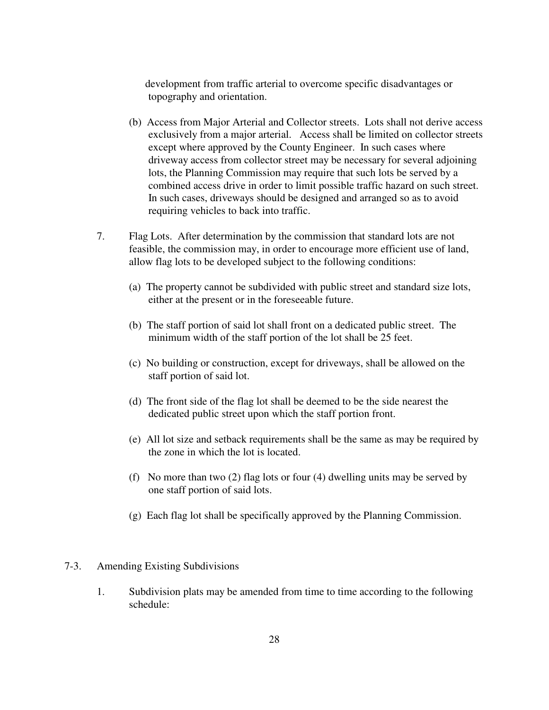development from traffic arterial to overcome specific disadvantages or topography and orientation.

- (b) Access from Major Arterial and Collector streets. Lots shall not derive access exclusively from a major arterial. Access shall be limited on collector streets except where approved by the County Engineer. In such cases where driveway access from collector street may be necessary for several adjoining lots, the Planning Commission may require that such lots be served by a combined access drive in order to limit possible traffic hazard on such street. In such cases, driveways should be designed and arranged so as to avoid requiring vehicles to back into traffic.
- 7. Flag Lots. After determination by the commission that standard lots are not feasible, the commission may, in order to encourage more efficient use of land, allow flag lots to be developed subject to the following conditions:
	- (a) The property cannot be subdivided with public street and standard size lots, either at the present or in the foreseeable future.
	- (b) The staff portion of said lot shall front on a dedicated public street. The minimum width of the staff portion of the lot shall be 25 feet.
	- (c) No building or construction, except for driveways, shall be allowed on the staff portion of said lot.
	- (d) The front side of the flag lot shall be deemed to be the side nearest the dedicated public street upon which the staff portion front.
	- (e) All lot size and setback requirements shall be the same as may be required by the zone in which the lot is located.
	- (f) No more than two (2) flag lots or four (4) dwelling units may be served by one staff portion of said lots.
	- (g) Each flag lot shall be specifically approved by the Planning Commission.

#### 7-3. Amending Existing Subdivisions

1. Subdivision plats may be amended from time to time according to the following schedule: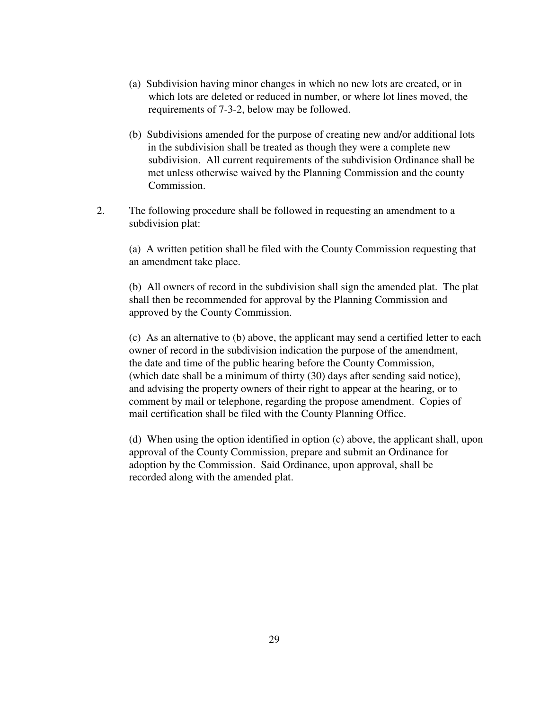- (a) Subdivision having minor changes in which no new lots are created, or in which lots are deleted or reduced in number, or where lot lines moved, the requirements of 7-3-2, below may be followed.
- (b) Subdivisions amended for the purpose of creating new and/or additional lots in the subdivision shall be treated as though they were a complete new subdivision. All current requirements of the subdivision Ordinance shall be met unless otherwise waived by the Planning Commission and the county Commission.
- 2. The following procedure shall be followed in requesting an amendment to a subdivision plat:

(a) A written petition shall be filed with the County Commission requesting that an amendment take place.

(b) All owners of record in the subdivision shall sign the amended plat. The plat shall then be recommended for approval by the Planning Commission and approved by the County Commission.

(c) As an alternative to (b) above, the applicant may send a certified letter to each owner of record in the subdivision indication the purpose of the amendment, the date and time of the public hearing before the County Commission, (which date shall be a minimum of thirty (30) days after sending said notice), and advising the property owners of their right to appear at the hearing, or to comment by mail or telephone, regarding the propose amendment. Copies of mail certification shall be filed with the County Planning Office.

(d) When using the option identified in option (c) above, the applicant shall, upon approval of the County Commission, prepare and submit an Ordinance for adoption by the Commission. Said Ordinance, upon approval, shall be recorded along with the amended plat.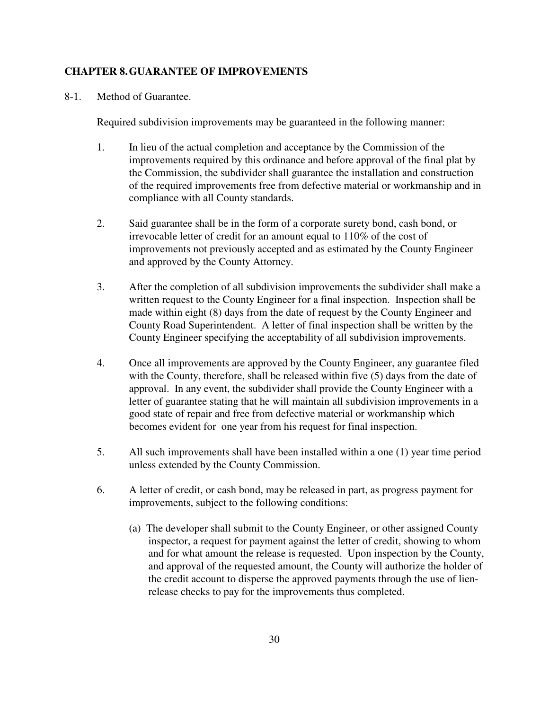## **CHAPTER 8. GUARANTEE OF IMPROVEMENTS**

8-1. Method of Guarantee.

Required subdivision improvements may be guaranteed in the following manner:

- 1. In lieu of the actual completion and acceptance by the Commission of the improvements required by this ordinance and before approval of the final plat by the Commission, the subdivider shall guarantee the installation and construction of the required improvements free from defective material or workmanship and in compliance with all County standards.
- 2. Said guarantee shall be in the form of a corporate surety bond, cash bond, or irrevocable letter of credit for an amount equal to 110% of the cost of improvements not previously accepted and as estimated by the County Engineer and approved by the County Attorney.
- 3. After the completion of all subdivision improvements the subdivider shall make a written request to the County Engineer for a final inspection. Inspection shall be made within eight (8) days from the date of request by the County Engineer and County Road Superintendent. A letter of final inspection shall be written by the County Engineer specifying the acceptability of all subdivision improvements.
- 4. Once all improvements are approved by the County Engineer, any guarantee filed with the County, therefore, shall be released within five (5) days from the date of approval. In any event, the subdivider shall provide the County Engineer with a letter of guarantee stating that he will maintain all subdivision improvements in a good state of repair and free from defective material or workmanship which becomes evident for one year from his request for final inspection.
- 5. All such improvements shall have been installed within a one (1) year time period unless extended by the County Commission.
- 6. A letter of credit, or cash bond, may be released in part, as progress payment for improvements, subject to the following conditions:
	- (a) The developer shall submit to the County Engineer, or other assigned County inspector, a request for payment against the letter of credit, showing to whom and for what amount the release is requested. Upon inspection by the County, and approval of the requested amount, the County will authorize the holder of the credit account to disperse the approved payments through the use of lienrelease checks to pay for the improvements thus completed.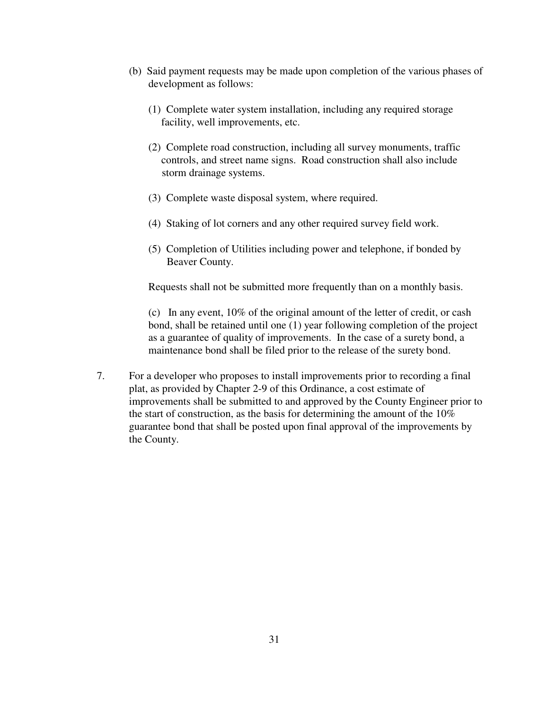- (b) Said payment requests may be made upon completion of the various phases of development as follows:
	- (1) Complete water system installation, including any required storage facility, well improvements, etc.
	- (2) Complete road construction, including all survey monuments, traffic controls, and street name signs. Road construction shall also include storm drainage systems.
	- (3) Complete waste disposal system, where required.
	- (4) Staking of lot corners and any other required survey field work.
	- (5) Completion of Utilities including power and telephone, if bonded by Beaver County.

Requests shall not be submitted more frequently than on a monthly basis.

(c) In any event, 10% of the original amount of the letter of credit, or cash bond, shall be retained until one (1) year following completion of the project as a guarantee of quality of improvements. In the case of a surety bond, a maintenance bond shall be filed prior to the release of the surety bond.

7. For a developer who proposes to install improvements prior to recording a final plat, as provided by Chapter 2-9 of this Ordinance, a cost estimate of improvements shall be submitted to and approved by the County Engineer prior to the start of construction, as the basis for determining the amount of the 10% guarantee bond that shall be posted upon final approval of the improvements by the County.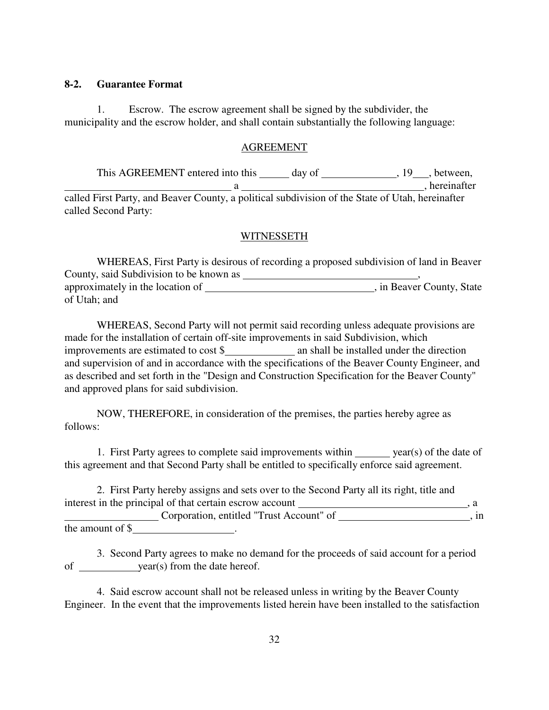### **8-2. Guarantee Format**

1. Escrow. The escrow agreement shall be signed by the subdivider, the municipality and the escrow holder, and shall contain substantially the following language:

#### AGREEMENT

This AGREEMENT entered into this \_\_\_\_\_ day of \_\_\_\_\_\_\_\_\_\_\_\_\_\_, 19\_\_\_, between, a , hereinafter called First Party, and Beaver County, a political subdivision of the State of Utah, hereinafter called Second Party:

#### WITNESSETH

WHEREAS, First Party is desirous of recording a proposed subdivision of land in Beaver County, said Subdivision to be known as , approximately in the location of , in Beaver County, State of Utah; and

WHEREAS, Second Party will not permit said recording unless adequate provisions are made for the installation of certain off-site improvements in said Subdivision, which improvements are estimated to  $cost$ \$ and supervision of and in accordance with the specifications of the Beaver County Engineer, and as described and set forth in the "Design and Construction Specification for the Beaver County" and approved plans for said subdivision.

NOW, THEREFORE, in consideration of the premises, the parties hereby agree as follows:

1. First Party agrees to complete said improvements within year(s) of the date of this agreement and that Second Party shall be entitled to specifically enforce said agreement.

2. First Party hereby assigns and sets over to the Second Party all its right, title and interest in the principal of that certain escrow account  $\frac{1}{1-\frac{1}{1-\frac{1}{1-\frac{1}{1-\frac{1}{1-\frac{1}{1-\frac{1}{1-\frac{1}{1-\frac{1}{1-\frac{1}{1-\frac{1}{1-\frac{1}{1-\frac{1}{1-\frac{1}{1-\frac{1}{1-\frac{1}{1-\frac{1}{1-\frac{1}{1-\frac{1}{1-\frac{1}{1-\frac{1}{1-\frac{1}{1-\frac{1}{1-\frac{1}{1-\frac{1}{1-\frac{1}{1-\frac{1}{1-\frac$ Corporation, entitled "Trust Account" of , in

the amount of \$ .

3. Second Party agrees to make no demand for the proceeds of said account for a period of year(s) from the date hereof.

4. Said escrow account shall not be released unless in writing by the Beaver County Engineer. In the event that the improvements listed herein have been installed to the satisfaction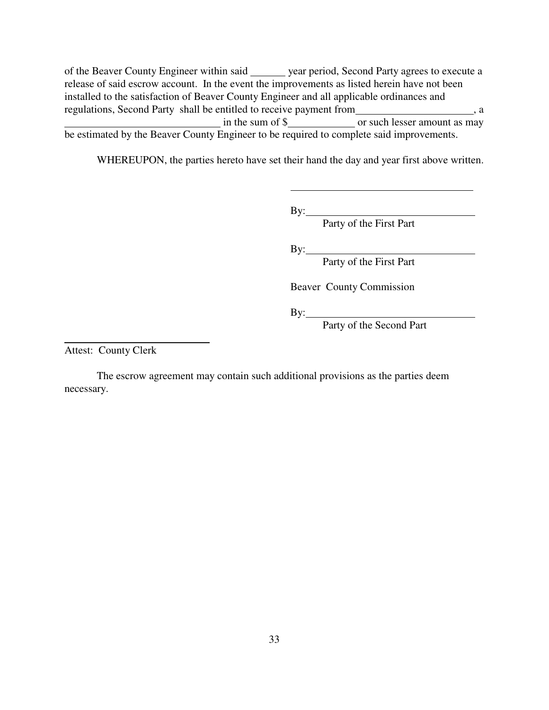of the Beaver County Engineer within said year period, Second Party agrees to execute a release of said escrow account. In the event the improvements as listed herein have not been installed to the satisfaction of Beaver County Engineer and all applicable ordinances and regulations, Second Party shall be entitled to receive payment from , a in the sum of \$ or such lesser amount as may be estimated by the Beaver County Engineer to be required to complete said improvements.

WHEREUPON, the parties hereto have set their hand the day and year first above written.

 $\overline{a}$ 

By:\_

Party of the First Part

By:

Party of the First Part

Beaver County Commission

By:

Party of the Second Part

Attest: County Clerk

 $\overline{a}$ 

The escrow agreement may contain such additional provisions as the parties deem necessary.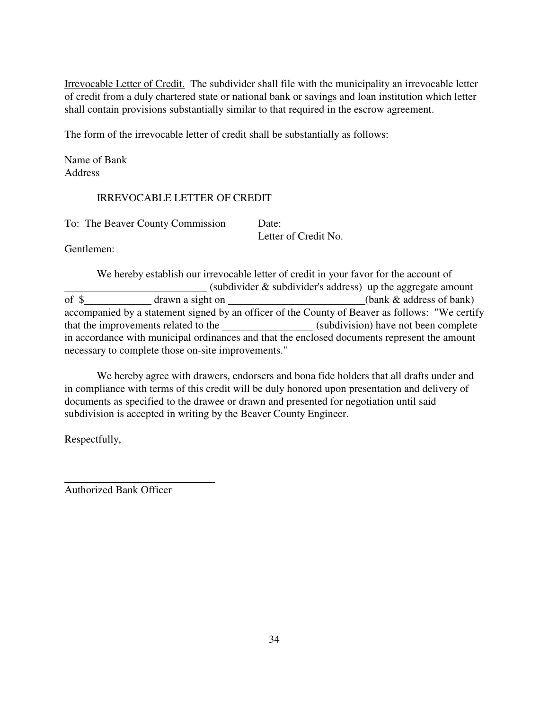Irrevocable Letter of Credit. The subdivider shall file with the municipality an irrevocable letter of credit from a duly chartered state or national bank or savings and loan institution which letter shall contain provisions substantially similar to that required in the escrow agreement.

The form of the irrevocable letter of credit shall be substantially as follows:

Name of Bank Address

# IRREVOCABLE LETTER OF CREDIT

To: The Beaver County Commission Date:

Letter of Credit No.

Gentlemen:

We hereby establish our irrevocable letter of credit in your favor for the account of (subdivider & subdivider's address) up the aggregate amount of \$ drawn a sight on (bank & address of bank) accompanied by a statement signed by an officer of the County of Beaver as follows: "We certify that the improvements related to the (subdivision) have not been complete in accordance with municipal ordinances and that the enclosed documents represent the amount necessary to complete those on-site improvements."

We hereby agree with drawers, endorsers and bona fide holders that all drafts under and in compliance with terms of this credit will be duly honored upon presentation and delivery of documents as specified to the drawee or drawn and presented for negotiation until said subdivision is accepted in writing by the Beaver County Engineer.

Respectfully,

 $\overline{a}$ 

Authorized Bank Officer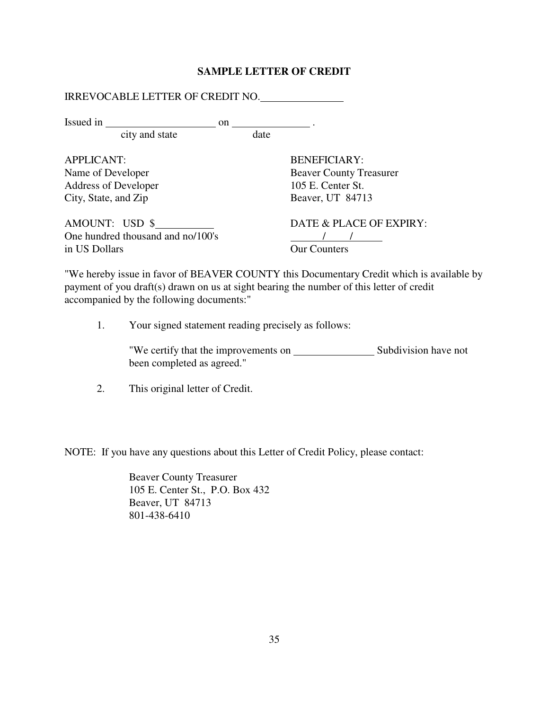## **SAMPLE LETTER OF CREDIT**

| Issued in $\frac{1}{\sqrt{1-\frac{1}{2}} \cdot \frac{1}{\sqrt{1-\frac{1}{2}} \cdot \frac{1}{\sqrt{1-\frac{1}{2}} \cdot \frac{1}{\sqrt{1-\frac{1}{2}} \cdot \frac{1}{\sqrt{1-\frac{1}{2}} \cdot \frac{1}{\sqrt{1-\frac{1}{2}} \cdot \frac{1}{\sqrt{1-\frac{1}{2}} \cdot \frac{1}{\sqrt{1-\frac{1}{2}} \cdot \frac{1}{\sqrt{1-\frac{1}{2}} \cdot \frac{1}{\sqrt{1-\frac{1}{2}} \cdot \frac{1}{\sqrt{1-\frac{1}{2}} \cdot \frac{1}{\sqrt{1-\frac{$ |      |                                |
|-------------------------------------------------------------------------------------------------------------------------------------------------------------------------------------------------------------------------------------------------------------------------------------------------------------------------------------------------------------------------------------------------------------------------------------------------|------|--------------------------------|
| city and state                                                                                                                                                                                                                                                                                                                                                                                                                                  | date |                                |
| <b>APPLICANT:</b>                                                                                                                                                                                                                                                                                                                                                                                                                               |      | <b>BENEFICIARY:</b>            |
| Name of Developer                                                                                                                                                                                                                                                                                                                                                                                                                               |      | <b>Beaver County Treasurer</b> |
| Address of Developer                                                                                                                                                                                                                                                                                                                                                                                                                            |      | 105 E. Center St.              |
| City, State, and Zip                                                                                                                                                                                                                                                                                                                                                                                                                            |      | Beaver, UT 84713               |
| AMOUNT: USD \$                                                                                                                                                                                                                                                                                                                                                                                                                                  |      | DATE & PLACE OF EXPIRY:        |
| One hundred thousand and no/100's                                                                                                                                                                                                                                                                                                                                                                                                               |      |                                |
| in US Dollars                                                                                                                                                                                                                                                                                                                                                                                                                                   |      | <b>Our Counters</b>            |

"We hereby issue in favor of BEAVER COUNTY this Documentary Credit which is available by payment of you draft(s) drawn on us at sight bearing the number of this letter of credit accompanied by the following documents:"

1. Your signed statement reading precisely as follows:

"We certify that the improvements on Subdivision have not been completed as agreed."

2. This original letter of Credit.

NOTE: If you have any questions about this Letter of Credit Policy, please contact:

Beaver County Treasurer 105 E. Center St., P.O. Box 432 Beaver, UT 84713 801-438-6410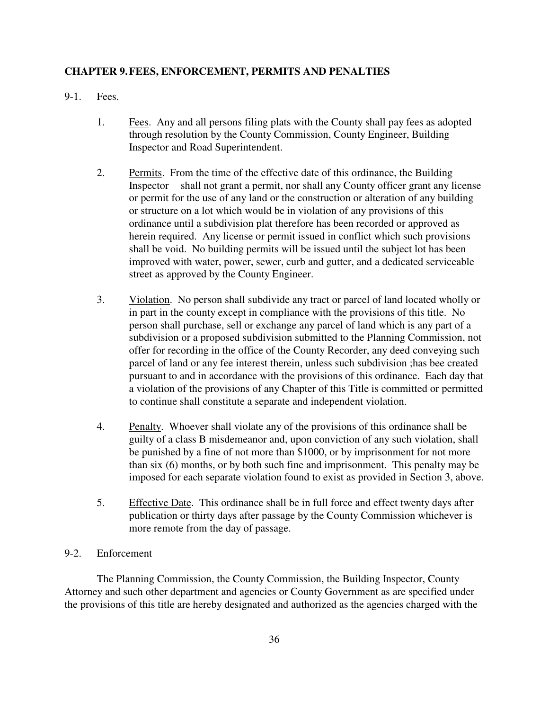### **CHAPTER 9. FEES, ENFORCEMENT, PERMITS AND PENALTIES**

9-1. Fees.

- 1. Fees. Any and all persons filing plats with the County shall pay fees as adopted through resolution by the County Commission, County Engineer, Building Inspector and Road Superintendent.
- 2. Permits. From the time of the effective date of this ordinance, the Building Inspector shall not grant a permit, nor shall any County officer grant any license or permit for the use of any land or the construction or alteration of any building or structure on a lot which would be in violation of any provisions of this ordinance until a subdivision plat therefore has been recorded or approved as herein required. Any license or permit issued in conflict which such provisions shall be void. No building permits will be issued until the subject lot has been improved with water, power, sewer, curb and gutter, and a dedicated serviceable street as approved by the County Engineer.
- 3. Violation. No person shall subdivide any tract or parcel of land located wholly or in part in the county except in compliance with the provisions of this title. No person shall purchase, sell or exchange any parcel of land which is any part of a subdivision or a proposed subdivision submitted to the Planning Commission, not offer for recording in the office of the County Recorder, any deed conveying such parcel of land or any fee interest therein, unless such subdivision ;has bee created pursuant to and in accordance with the provisions of this ordinance. Each day that a violation of the provisions of any Chapter of this Title is committed or permitted to continue shall constitute a separate and independent violation.
- 4. Penalty. Whoever shall violate any of the provisions of this ordinance shall be guilty of a class B misdemeanor and, upon conviction of any such violation, shall be punished by a fine of not more than \$1000, or by imprisonment for not more than six (6) months, or by both such fine and imprisonment. This penalty may be imposed for each separate violation found to exist as provided in Section 3, above.
- 5. Effective Date. This ordinance shall be in full force and effect twenty days after publication or thirty days after passage by the County Commission whichever is more remote from the day of passage.

## 9-2. Enforcement

The Planning Commission, the County Commission, the Building Inspector, County Attorney and such other department and agencies or County Government as are specified under the provisions of this title are hereby designated and authorized as the agencies charged with the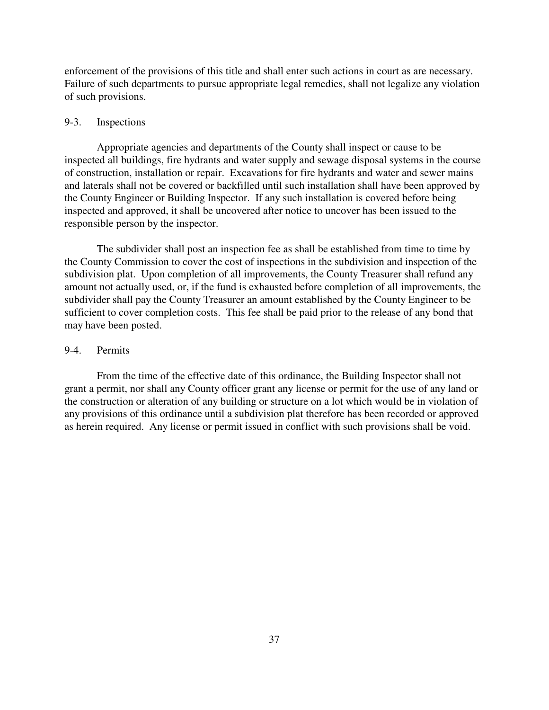enforcement of the provisions of this title and shall enter such actions in court as are necessary. Failure of such departments to pursue appropriate legal remedies, shall not legalize any violation of such provisions.

#### 9-3. Inspections

Appropriate agencies and departments of the County shall inspect or cause to be inspected all buildings, fire hydrants and water supply and sewage disposal systems in the course of construction, installation or repair. Excavations for fire hydrants and water and sewer mains and laterals shall not be covered or backfilled until such installation shall have been approved by the County Engineer or Building Inspector. If any such installation is covered before being inspected and approved, it shall be uncovered after notice to uncover has been issued to the responsible person by the inspector.

The subdivider shall post an inspection fee as shall be established from time to time by the County Commission to cover the cost of inspections in the subdivision and inspection of the subdivision plat. Upon completion of all improvements, the County Treasurer shall refund any amount not actually used, or, if the fund is exhausted before completion of all improvements, the subdivider shall pay the County Treasurer an amount established by the County Engineer to be sufficient to cover completion costs. This fee shall be paid prior to the release of any bond that may have been posted.

#### 9-4. Permits

From the time of the effective date of this ordinance, the Building Inspector shall not grant a permit, nor shall any County officer grant any license or permit for the use of any land or the construction or alteration of any building or structure on a lot which would be in violation of any provisions of this ordinance until a subdivision plat therefore has been recorded or approved as herein required. Any license or permit issued in conflict with such provisions shall be void.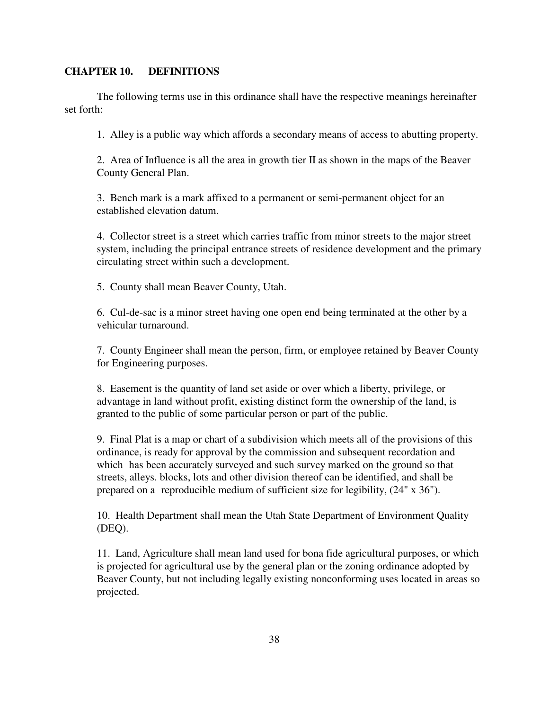#### **CHAPTER 10. DEFINITIONS**

The following terms use in this ordinance shall have the respective meanings hereinafter set forth:

1. Alley is a public way which affords a secondary means of access to abutting property.

2. Area of Influence is all the area in growth tier II as shown in the maps of the Beaver County General Plan.

3. Bench mark is a mark affixed to a permanent or semi-permanent object for an established elevation datum.

4. Collector street is a street which carries traffic from minor streets to the major street system, including the principal entrance streets of residence development and the primary circulating street within such a development.

5. County shall mean Beaver County, Utah.

6. Cul-de-sac is a minor street having one open end being terminated at the other by a vehicular turnaround.

7. County Engineer shall mean the person, firm, or employee retained by Beaver County for Engineering purposes.

8. Easement is the quantity of land set aside or over which a liberty, privilege, or advantage in land without profit, existing distinct form the ownership of the land, is granted to the public of some particular person or part of the public.

9. Final Plat is a map or chart of a subdivision which meets all of the provisions of this ordinance, is ready for approval by the commission and subsequent recordation and which has been accurately surveyed and such survey marked on the ground so that streets, alleys. blocks, lots and other division thereof can be identified, and shall be prepared on a reproducible medium of sufficient size for legibility, (24" x 36").

10. Health Department shall mean the Utah State Department of Environment Quality (DEQ).

11. Land, Agriculture shall mean land used for bona fide agricultural purposes, or which is projected for agricultural use by the general plan or the zoning ordinance adopted by Beaver County, but not including legally existing nonconforming uses located in areas so projected.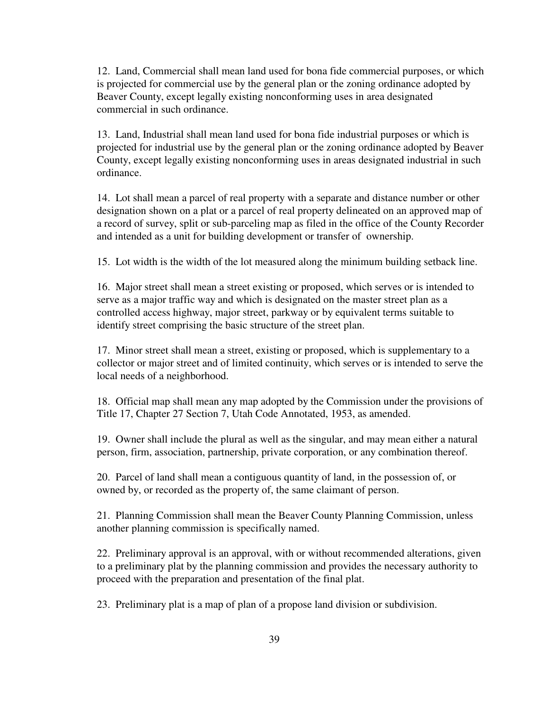12. Land, Commercial shall mean land used for bona fide commercial purposes, or which is projected for commercial use by the general plan or the zoning ordinance adopted by Beaver County, except legally existing nonconforming uses in area designated commercial in such ordinance.

13. Land, Industrial shall mean land used for bona fide industrial purposes or which is projected for industrial use by the general plan or the zoning ordinance adopted by Beaver County, except legally existing nonconforming uses in areas designated industrial in such ordinance.

14. Lot shall mean a parcel of real property with a separate and distance number or other designation shown on a plat or a parcel of real property delineated on an approved map of a record of survey, split or sub-parceling map as filed in the office of the County Recorder and intended as a unit for building development or transfer of ownership.

15. Lot width is the width of the lot measured along the minimum building setback line.

16. Major street shall mean a street existing or proposed, which serves or is intended to serve as a major traffic way and which is designated on the master street plan as a controlled access highway, major street, parkway or by equivalent terms suitable to identify street comprising the basic structure of the street plan.

17. Minor street shall mean a street, existing or proposed, which is supplementary to a collector or major street and of limited continuity, which serves or is intended to serve the local needs of a neighborhood.

18. Official map shall mean any map adopted by the Commission under the provisions of Title 17, Chapter 27 Section 7, Utah Code Annotated, 1953, as amended.

19. Owner shall include the plural as well as the singular, and may mean either a natural person, firm, association, partnership, private corporation, or any combination thereof.

20. Parcel of land shall mean a contiguous quantity of land, in the possession of, or owned by, or recorded as the property of, the same claimant of person.

21. Planning Commission shall mean the Beaver County Planning Commission, unless another planning commission is specifically named.

22. Preliminary approval is an approval, with or without recommended alterations, given to a preliminary plat by the planning commission and provides the necessary authority to proceed with the preparation and presentation of the final plat.

23. Preliminary plat is a map of plan of a propose land division or subdivision.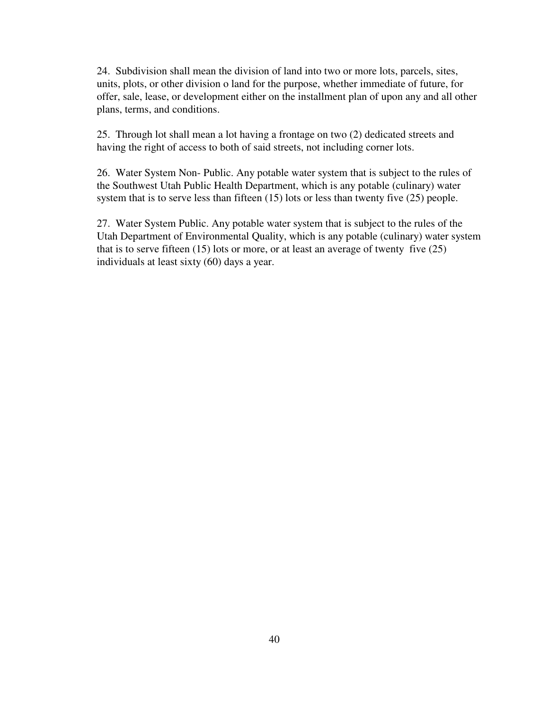24. Subdivision shall mean the division of land into two or more lots, parcels, sites, units, plots, or other division o land for the purpose, whether immediate of future, for offer, sale, lease, or development either on the installment plan of upon any and all other plans, terms, and conditions.

25. Through lot shall mean a lot having a frontage on two (2) dedicated streets and having the right of access to both of said streets, not including corner lots.

26. Water System Non- Public. Any potable water system that is subject to the rules of the Southwest Utah Public Health Department, which is any potable (culinary) water system that is to serve less than fifteen (15) lots or less than twenty five (25) people.

27. Water System Public. Any potable water system that is subject to the rules of the Utah Department of Environmental Quality, which is any potable (culinary) water system that is to serve fifteen  $(15)$  lots or more, or at least an average of twenty five  $(25)$ individuals at least sixty (60) days a year.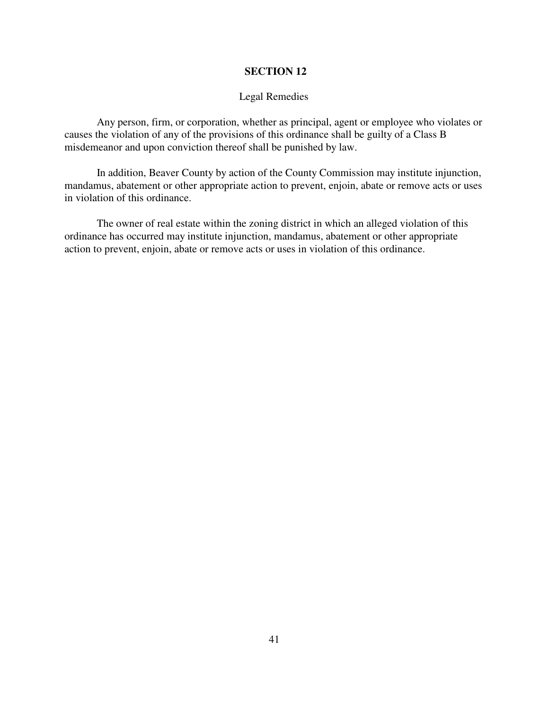### Legal Remedies

Any person, firm, or corporation, whether as principal, agent or employee who violates or causes the violation of any of the provisions of this ordinance shall be guilty of a Class B misdemeanor and upon conviction thereof shall be punished by law.

In addition, Beaver County by action of the County Commission may institute injunction, mandamus, abatement or other appropriate action to prevent, enjoin, abate or remove acts or uses in violation of this ordinance.

The owner of real estate within the zoning district in which an alleged violation of this ordinance has occurred may institute injunction, mandamus, abatement or other appropriate action to prevent, enjoin, abate or remove acts or uses in violation of this ordinance.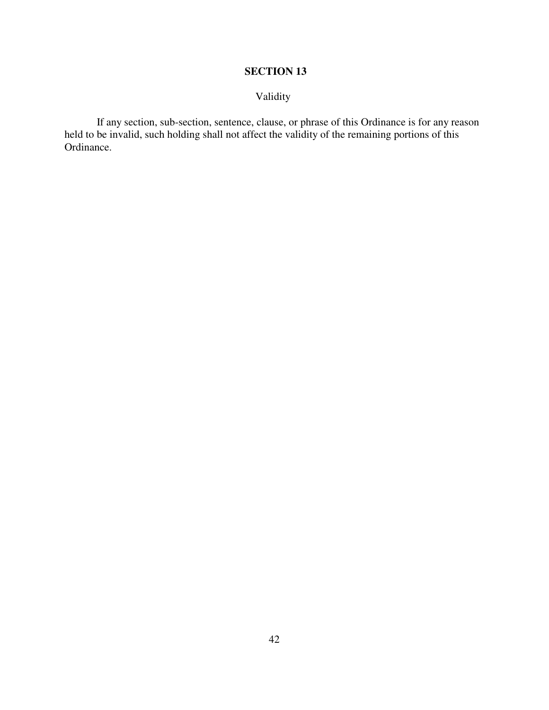# Validity

If any section, sub-section, sentence, clause, or phrase of this Ordinance is for any reason held to be invalid, such holding shall not affect the validity of the remaining portions of this Ordinance.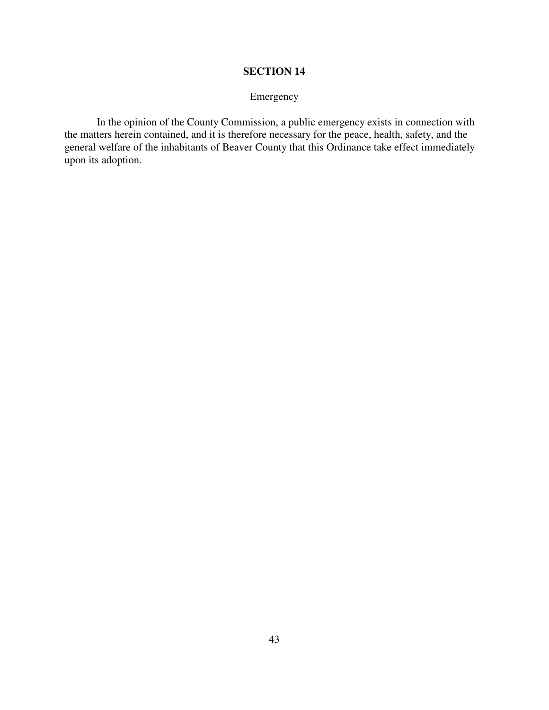# Emergency

In the opinion of the County Commission, a public emergency exists in connection with the matters herein contained, and it is therefore necessary for the peace, health, safety, and the general welfare of the inhabitants of Beaver County that this Ordinance take effect immediately upon its adoption.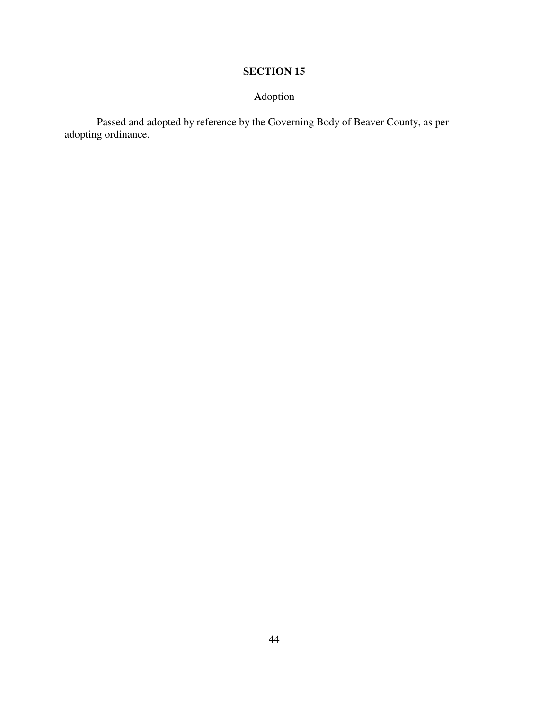# Adoption

Passed and adopted by reference by the Governing Body of Beaver County, as per adopting ordinance.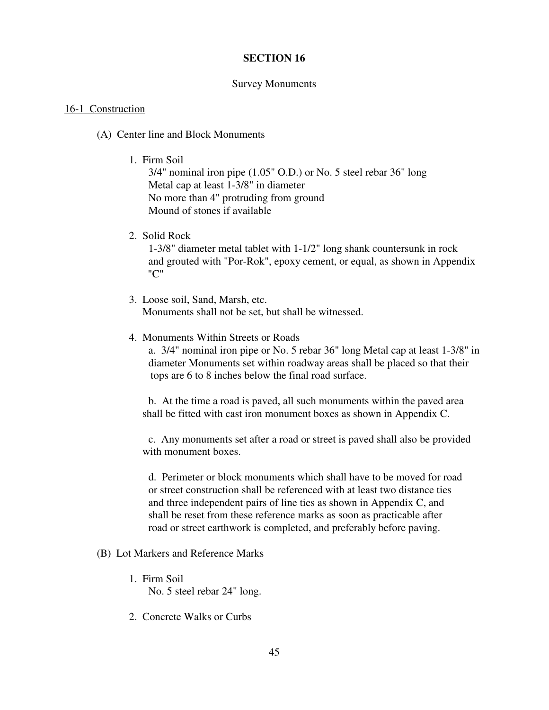#### Survey Monuments

#### 16-1 Construction

- (A) Center line and Block Monuments
	- 1. Firm Soil

3/4" nominal iron pipe (1.05" O.D.) or No. 5 steel rebar 36" long Metal cap at least 1-3/8" in diameter No more than 4" protruding from ground Mound of stones if available

2. Solid Rock

 1-3/8" diameter metal tablet with 1-1/2" long shank countersunk in rock and grouted with "Por-Rok", epoxy cement, or equal, as shown in Appendix "C"

- 3. Loose soil, Sand, Marsh, etc. Monuments shall not be set, but shall be witnessed.
- 4. Monuments Within Streets or Roads

 a. 3/4" nominal iron pipe or No. 5 rebar 36" long Metal cap at least 1-3/8" in diameter Monuments set within roadway areas shall be placed so that their tops are 6 to 8 inches below the final road surface.

 b. At the time a road is paved, all such monuments within the paved area shall be fitted with cast iron monument boxes as shown in Appendix C.

 c. Any monuments set after a road or street is paved shall also be provided with monument boxes.

 d. Perimeter or block monuments which shall have to be moved for road or street construction shall be referenced with at least two distance ties and three independent pairs of line ties as shown in Appendix C, and shall be reset from these reference marks as soon as practicable after road or street earthwork is completed, and preferably before paving.

- (B) Lot Markers and Reference Marks
	- 1. Firm Soil No. 5 steel rebar 24" long.
	- 2. Concrete Walks or Curbs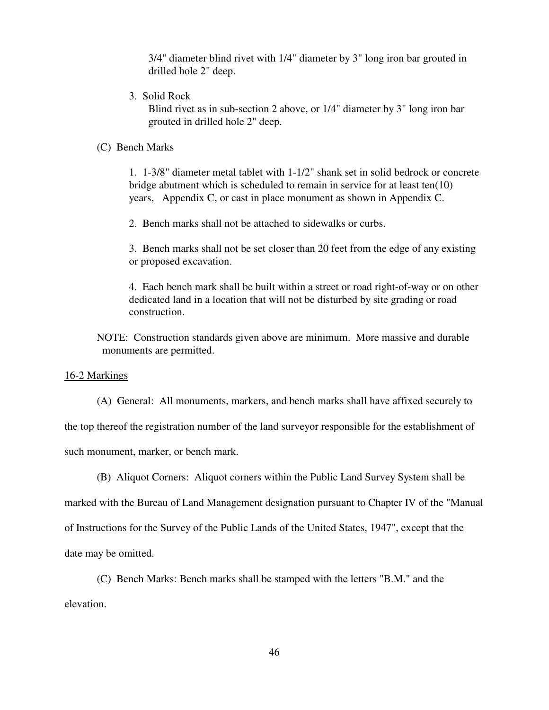3/4" diameter blind rivet with 1/4" diameter by 3" long iron bar grouted in drilled hole 2" deep.

3. Solid Rock

 Blind rivet as in sub-section 2 above, or 1/4" diameter by 3" long iron bar grouted in drilled hole 2" deep.

## (C) Bench Marks

 1. 1-3/8" diameter metal tablet with 1-1/2" shank set in solid bedrock or concrete bridge abutment which is scheduled to remain in service for at least ten(10) years, Appendix C, or cast in place monument as shown in Appendix C.

2. Bench marks shall not be attached to sidewalks or curbs.

 3. Bench marks shall not be set closer than 20 feet from the edge of any existing or proposed excavation.

 4. Each bench mark shall be built within a street or road right-of-way or on other dedicated land in a location that will not be disturbed by site grading or road construction.

NOTE: Construction standards given above are minimum. More massive and durable monuments are permitted.

#### 16-2 Markings

(A) General: All monuments, markers, and bench marks shall have affixed securely to

the top thereof the registration number of the land surveyor responsible for the establishment of

such monument, marker, or bench mark.

(B) Aliquot Corners: Aliquot corners within the Public Land Survey System shall be

marked with the Bureau of Land Management designation pursuant to Chapter IV of the "Manual of Instructions for the Survey of the Public Lands of the United States, 1947", except that the date may be omitted.

(C) Bench Marks: Bench marks shall be stamped with the letters "B.M." and the

elevation.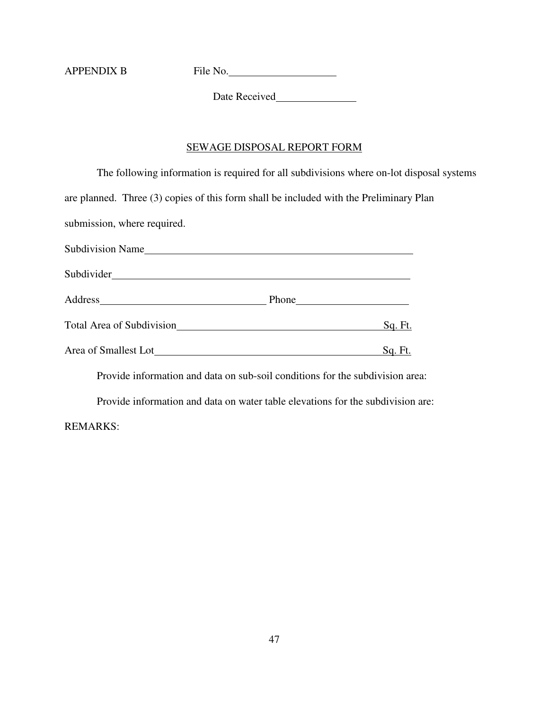APPENDIX B File No.

Date Received

# SEWAGE DISPOSAL REPORT FORM

|                                                                                        | The following information is required for all subdivisions where on-lot disposal systems |
|----------------------------------------------------------------------------------------|------------------------------------------------------------------------------------------|
| are planned. Three (3) copies of this form shall be included with the Preliminary Plan |                                                                                          |
| submission, where required.                                                            |                                                                                          |
| Subdivision Name                                                                       |                                                                                          |
|                                                                                        |                                                                                          |
|                                                                                        |                                                                                          |
| Total Area of Subdivision Manual Area of Subdivision                                   | Sq. Ft.                                                                                  |
|                                                                                        | Sq. Ft.                                                                                  |
| Provide information and data on sub-soil conditions for the subdivision area:          |                                                                                          |
|                                                                                        |                                                                                          |

Provide information and data on water table elevations for the subdivision are:

REMARKS: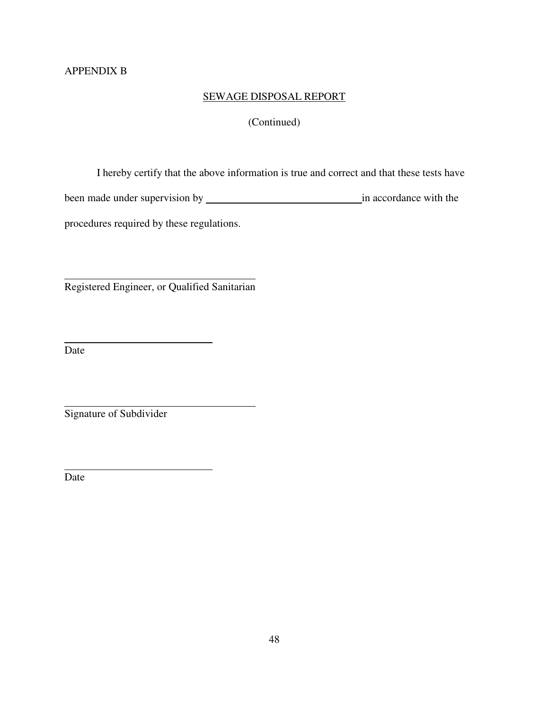# APPENDIX B

# SEWAGE DISPOSAL REPORT

# (Continued)

I hereby certify that the above information is true and correct and that these tests have

been made under supervision by in accordance with the

procedures required by these regulations.

Registered Engineer, or Qualified Sanitarian

Date

 $\overline{a}$ 

 $\overline{a}$ 

 $\overline{a}$ 

Signature of Subdivider

Date

 $\overline{a}$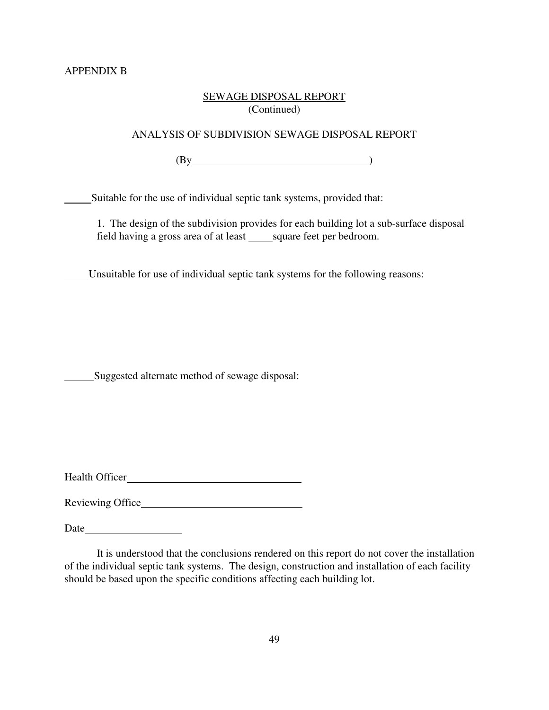## SEWAGE DISPOSAL REPORT (Continued)

# ANALYSIS OF SUBDIVISION SEWAGE DISPOSAL REPORT

 $\frac{1}{1}$  (By

Suitable for the use of individual septic tank systems, provided that:

1. The design of the subdivision provides for each building lot a sub-surface disposal field having a gross area of at least square feet per bedroom.

Unsuitable for use of individual septic tank systems for the following reasons:

Suggested alternate method of sewage disposal:

Health Officer

Reviewing Office

Date and the set of the set of the set of the set of the set of the set of the set of the set of the set of the set of the set of the set of the set of the set of the set of the set of the set of the set of the set of the

It is understood that the conclusions rendered on this report do not cover the installation of the individual septic tank systems. The design, construction and installation of each facility should be based upon the specific conditions affecting each building lot.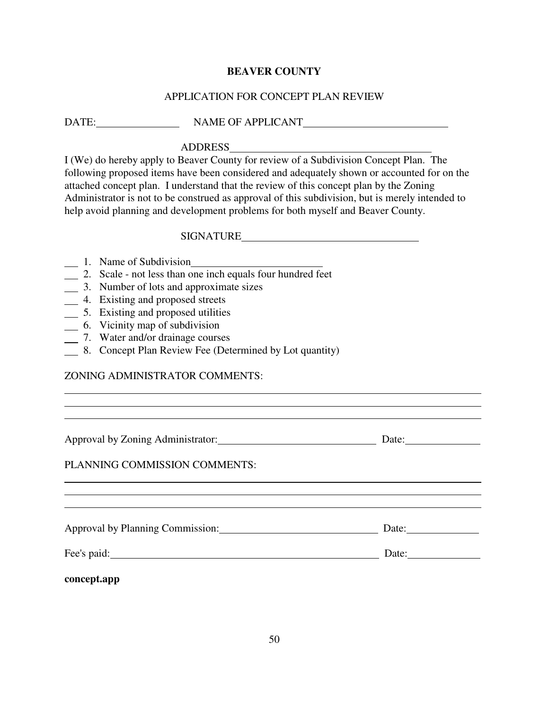## APPLICATION FOR CONCEPT PLAN REVIEW

DATE: NAME OF APPLICANT

## ADDRESS

I (We) do hereby apply to Beaver County for review of a Subdivision Concept Plan. The following proposed items have been considered and adequately shown or accounted for on the attached concept plan. I understand that the review of this concept plan by the Zoning Administrator is not to be construed as approval of this subdivision, but is merely intended to help avoid planning and development problems for both myself and Beaver County.

## **SIGNATURE**

- 1. Name of Subdivision
- 2. Scale not less than one inch equals four hundred feet
- 3. Number of lots and approximate sizes
- 4. Existing and proposed streets
- 5. Existing and proposed utilities
- 6. Vicinity map of subdivision
- 7. Water and/or drainage courses
- 8. Concept Plan Review Fee (Determined by Lot quantity)

# ZONING ADMINISTRATOR COMMENTS:

Approval by Zoning Administrator: Date:

 $\overline{a}$ 

 $\overline{a}$ 

## PLANNING COMMISSION COMMENTS:

Approval by Planning Commission: Date:

Fee's paid: Date:

 $\overline{a}$  $\overline{a}$ 

 $\overline{a}$  $\overline{a}$ 

**concept.app**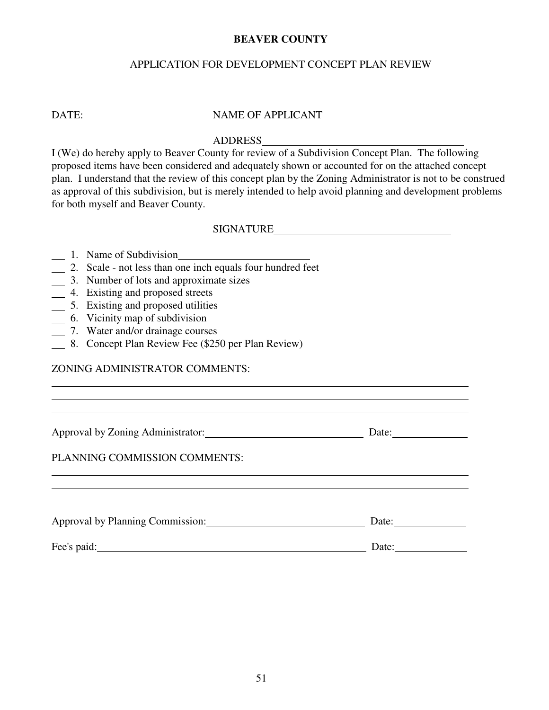# APPLICATION FOR DEVELOPMENT CONCEPT PLAN REVIEW

DATE: NAME OF APPLICANT

# ADDRESS

I (We) do hereby apply to Beaver County for review of a Subdivision Concept Plan. The following proposed items have been considered and adequately shown or accounted for on the attached concept plan. I understand that the review of this concept plan by the Zoning Administrator is not to be construed as approval of this subdivision, but is merely intended to help avoid planning and development problems for both myself and Beaver County.

SIGNATURE

|  | 1. Name of Subdivision |
|--|------------------------|
|  |                        |

 $\overline{a}$  $\overline{a}$ 

 $\overline{a}$  $\overline{a}$ 

- 2. Scale not less than one inch equals four hundred feet
- 3. Number of lots and approximate sizes
- <sup>4</sup>. Existing and proposed streets
- 5. Existing and proposed utilities
- 6. Vicinity map of subdivision
- 7. Water and/or drainage courses
- 8. Concept Plan Review Fee (\$250 per Plan Review)

## ZONING ADMINISTRATOR COMMENTS:

Approval by Zoning Administrator: Date: Date: Date:

# PLANNING COMMISSION COMMENTS:

| Approval by Planning Commission: | Date: |
|----------------------------------|-------|
| Fee's paid:                      | Date: |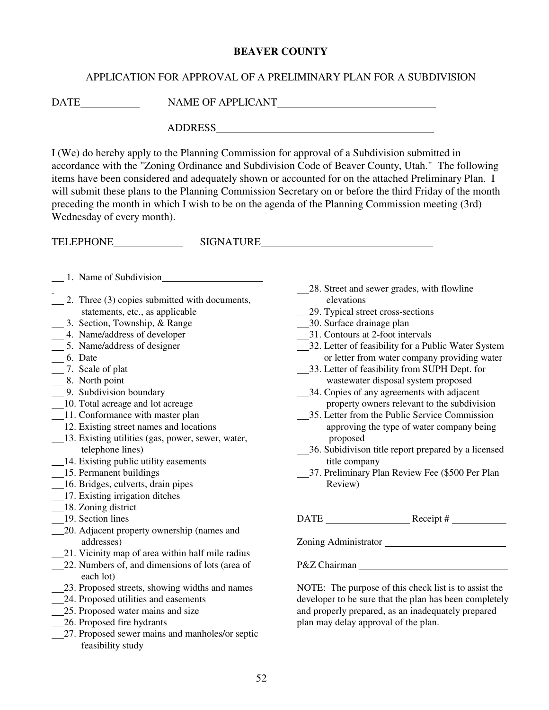## APPLICATION FOR APPROVAL OF A PRELIMINARY PLAN FOR A SUBDIVISION

DATE NAME OF APPLICANT

ADDRESS

I (We) do hereby apply to the Planning Commission for approval of a Subdivision submitted in accordance with the "Zoning Ordinance and Subdivision Code of Beaver County, Utah." The following items have been considered and adequately shown or accounted for on the attached Preliminary Plan. I will submit these plans to the Planning Commission Secretary on or before the third Friday of the month preceding the month in which I wish to be on the agenda of the Planning Commission meeting (3rd) Wednesday of every month).

TELEPHONE SIGNATURE

- 1. Name of Subdivision
- 2. Three (3) copies submitted with documents, statements, etc., as applicable
- 3. Section, Township, & Range
- 4. Name/address of developer
- 5. Name/address of designer
- 6. Date
- 7. Scale of plat
- 8. North point
- 9. Subdivision boundary
- 10. Total acreage and lot acreage
- 11. Conformance with master plan
- 12. Existing street names and locations
- 13. Existing utilities (gas, power, sewer, water, telephone lines)
- 14. Existing public utility easements
- 15. Permanent buildings
- 16. Bridges, culverts, drain pipes
- 17. Existing irrigation ditches
- 18. Zoning district
- 19. Section lines
- 20. Adjacent property ownership (names and addresses)
- 21. Vicinity map of area within half mile radius
- 22. Numbers of, and dimensions of lots (area of each lot)
- 23. Proposed streets, showing widths and names
- 24. Proposed utilities and easements
- 25. Proposed water mains and size
- 26. Proposed fire hydrants
- 27. Proposed sewer mains and manholes/or septic feasibility study
- 28. Street and sewer grades, with flowline elevations
- 29. Typical street cross-sections
- 30. Surface drainage plan
- 31. Contours at 2-foot intervals
- 32. Letter of feasibility for a Public Water System or letter from water company providing water
- 33. Letter of feasibility from SUPH Dept. for wastewater disposal system proposed
- 34. Copies of any agreements with adjacent property owners relevant to the subdivision
- 35. Letter from the Public Service Commission approving the type of water company being proposed
- 36. Subidivison title report prepared by a licensed title company
- 37. Preliminary Plan Review Fee (\$500 Per Plan Review)

 $\text{DATE}$  Receipt #

Zoning Administrator

P&Z Chairman

NOTE: The purpose of this check list is to assist the developer to be sure that the plan has been completely and properly prepared, as an inadequately prepared plan may delay approval of the plan.